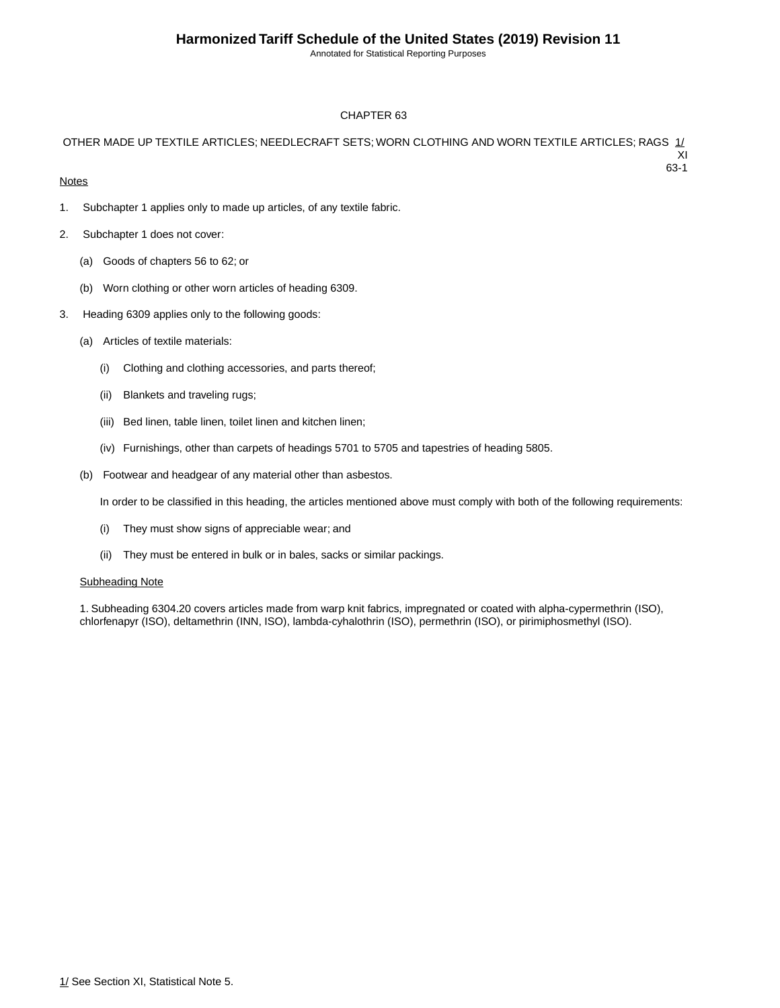Annotated for Statistical Reporting Purposes

63-1

#### CHAPTER 63

#### OTHER MADE UP TEXTILE ARTICLES; NEEDLECRAFT SETS; WORN CLOTHING AND WORN TEXTILE ARTICLES; RAGS 1/ XI

#### **Notes**

- 1. Subchapter 1 applies only to made up articles, of any textile fabric.
- 2. Subchapter 1 does not cover:
	- (a) Goods of chapters 56 to 62; or
	- (b) Worn clothing or other worn articles of heading 6309.
- 3. Heading 6309 applies only to the following goods:
	- (a) Articles of textile materials:
		- (i) Clothing and clothing accessories, and parts thereof;
		- (ii) Blankets and traveling rugs;
		- (iii) Bed linen, table linen, toilet linen and kitchen linen;
		- (iv) Furnishings, other than carpets of headings 5701 to 5705 and tapestries of heading 5805.
	- (b) Footwear and headgear of any material other than asbestos.

In order to be classified in this heading, the articles mentioned above must comply with both of the following requirements:

- (i) They must show signs of appreciable wear; and
- (ii) They must be entered in bulk or in bales, sacks or similar packings.

#### **Subheading Note**

1. Subheading 6304.20 covers articles made from warp knit fabrics, impregnated or coated with alpha-cypermethrin (ISO), chlorfenapyr (ISO), deltamethrin (INN, ISO), lambda-cyhalothrin (ISO), permethrin (ISO), or pirimiphosmethyl (ISO).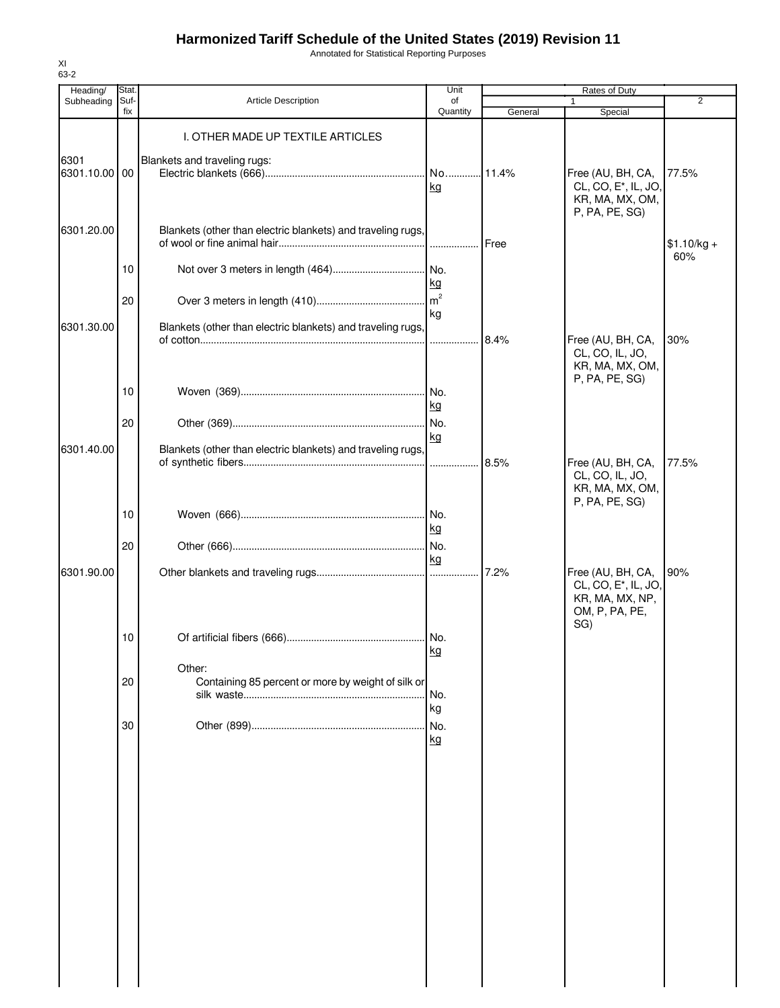Annotated for Statistical Reporting Purposes

| Heading/              | Stat.           |                                                              | Unit            |         | Rates of Duty                                                                                     |              |
|-----------------------|-----------------|--------------------------------------------------------------|-----------------|---------|---------------------------------------------------------------------------------------------------|--------------|
| Subheading            | Suf-<br>fix     | <b>Article Description</b>                                   | of<br>Quantity  | General | $\mathbf{1}$<br>Special                                                                           | 2            |
|                       |                 | I. OTHER MADE UP TEXTILE ARTICLES                            |                 |         |                                                                                                   |              |
| 6301<br>6301.10.00 00 |                 | Blankets and traveling rugs:                                 | No<br><u>kg</u> | .11.4%  | Free (AU, BH, CA,<br>CL, CO, E <sup>*</sup> , IL, JO,<br>KR, MA, MX, OM,<br>P, PA, PE, SG)        | 77.5%        |
| 6301.20.00            |                 | Blankets (other than electric blankets) and traveling rugs,  |                 | Free    |                                                                                                   | $$1.10/kg +$ |
|                       | 10 <sup>°</sup> |                                                              | <u>kg</u>       |         |                                                                                                   | 60%          |
|                       | 20              |                                                              | kg              |         |                                                                                                   |              |
| 6301.30.00            |                 | Blankets (other than electric blankets) and traveling rugs,  |                 | 8.4%    | Free (AU, BH, CA,<br>CL, CO, IL, JO,<br>KR, MA, MX, OM,<br>P, PA, PE, SG)                         | 30%          |
|                       | 10              |                                                              | kg              |         |                                                                                                   |              |
| 6301.40.00            | 20              | Blankets (other than electric blankets) and traveling rugs,  | kg              |         |                                                                                                   |              |
|                       |                 |                                                              |                 | 8.5%    | Free (AU, BH, CA,<br>CL, CO, IL, JO,<br>KR, MA, MX, OM,<br>P, PA, PE, SG)                         | 77.5%        |
|                       | 10              |                                                              | kg              |         |                                                                                                   |              |
|                       | 20              |                                                              | kg              |         |                                                                                                   |              |
| 6301.90.00            |                 |                                                              |                 | 7.2%    | Free (AU, BH, CA,<br>CL, CO, E <sup>*</sup> , IL, JO,<br>KR, MA, MX, NP,<br>OM, P, PA, PE,<br>SG) | 90%          |
|                       | 10              |                                                              | kg              |         |                                                                                                   |              |
|                       | 20              | Other:<br>Containing 85 percent or more by weight of silk or | No.<br>kg       |         |                                                                                                   |              |
|                       | 30              |                                                              | No.<br>kg       |         |                                                                                                   |              |
|                       |                 |                                                              |                 |         |                                                                                                   |              |
|                       |                 |                                                              |                 |         |                                                                                                   |              |
|                       |                 |                                                              |                 |         |                                                                                                   |              |
|                       |                 |                                                              |                 |         |                                                                                                   |              |
|                       |                 |                                                              |                 |         |                                                                                                   |              |
|                       |                 |                                                              |                 |         |                                                                                                   |              |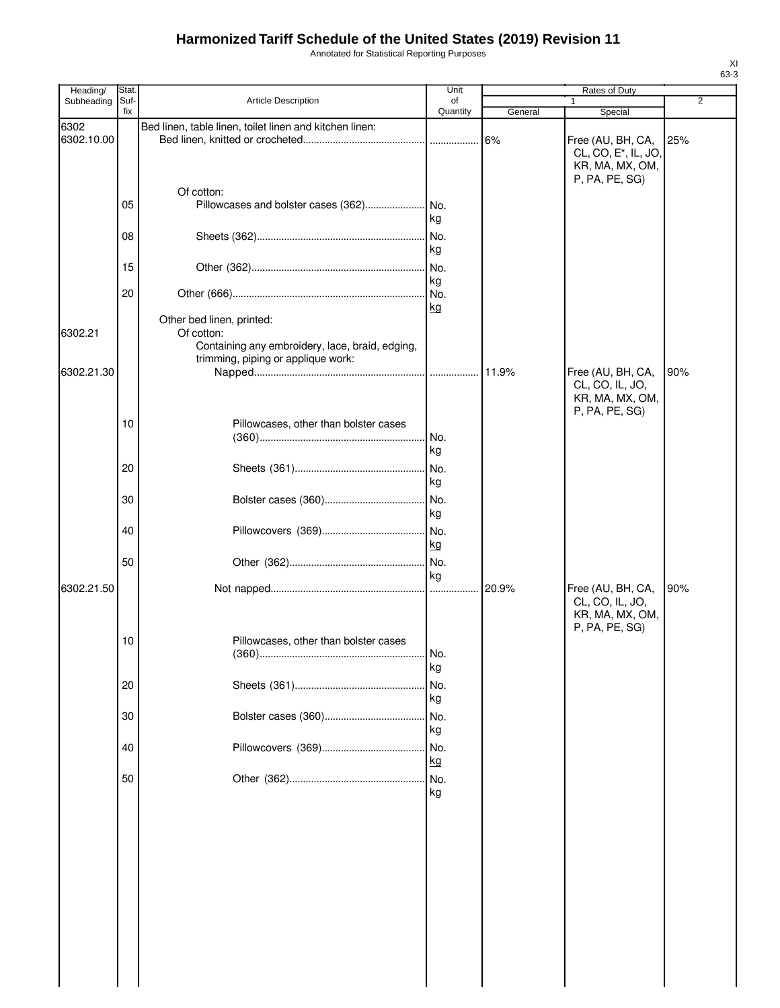Annotated for Statistical Reporting Purposes

| Heading/           | Stat.       |                                                                                                                                  | Unit           |         | Rates of Duty                                                                              |     |
|--------------------|-------------|----------------------------------------------------------------------------------------------------------------------------------|----------------|---------|--------------------------------------------------------------------------------------------|-----|
| Subheading         | Suf-<br>fix | Article Description                                                                                                              | of<br>Quantity | General | $\mathbf{1}$<br>Special                                                                    | 2   |
| 6302<br>6302.10.00 |             | Bed linen, table linen, toilet linen and kitchen linen:                                                                          |                |         | Free (AU, BH, CA,<br>CL, CO, E <sup>*</sup> , IL, JO,<br>KR, MA, MX, OM,<br>P, PA, PE, SG) | 25% |
|                    | 05          | Of cotton:                                                                                                                       |                |         |                                                                                            |     |
|                    | 08          |                                                                                                                                  | kg<br>kg       |         |                                                                                            |     |
|                    | 15          |                                                                                                                                  | kg             |         |                                                                                            |     |
|                    | 20          |                                                                                                                                  | kg             |         |                                                                                            |     |
| 6302.21            |             | Other bed linen, printed:<br>Of cotton:<br>Containing any embroidery, lace, braid, edging,<br>trimming, piping or applique work: |                |         |                                                                                            |     |
| 6302.21.30         |             |                                                                                                                                  |                |         | Free (AU, BH, CA,<br>CL, CO, IL, JO,<br>KR, MA, MX, OM,<br>P, PA, PE, SG)                  | 90% |
|                    | 10          | Pillowcases, other than bolster cases                                                                                            | No.<br>kg      |         |                                                                                            |     |
|                    | 20          |                                                                                                                                  | kg             |         |                                                                                            |     |
|                    | 30          |                                                                                                                                  | kg             |         |                                                                                            |     |
|                    | 40          |                                                                                                                                  | kg             |         |                                                                                            |     |
|                    | 50          |                                                                                                                                  | kg             |         |                                                                                            |     |
| 6302.21.50         |             |                                                                                                                                  |                |         | Free (AU, BH, CA,<br>CL, CO, IL, JO,<br>KR, MA, MX, OM,<br>P, PA, PE, SG)                  | 90% |
|                    | 10          | Pillowcases, other than bolster cases                                                                                            | I No.<br>kg    |         |                                                                                            |     |
|                    | 20          |                                                                                                                                  | No.<br>kg      |         |                                                                                            |     |
|                    | 30          |                                                                                                                                  | No.<br>kg      |         |                                                                                            |     |
|                    | 40          |                                                                                                                                  | kg             |         |                                                                                            |     |
|                    | 50          |                                                                                                                                  | kg             |         |                                                                                            |     |
|                    |             |                                                                                                                                  |                |         |                                                                                            |     |
|                    |             |                                                                                                                                  |                |         |                                                                                            |     |
|                    |             |                                                                                                                                  |                |         |                                                                                            |     |
|                    |             |                                                                                                                                  |                |         |                                                                                            |     |
|                    |             |                                                                                                                                  |                |         |                                                                                            |     |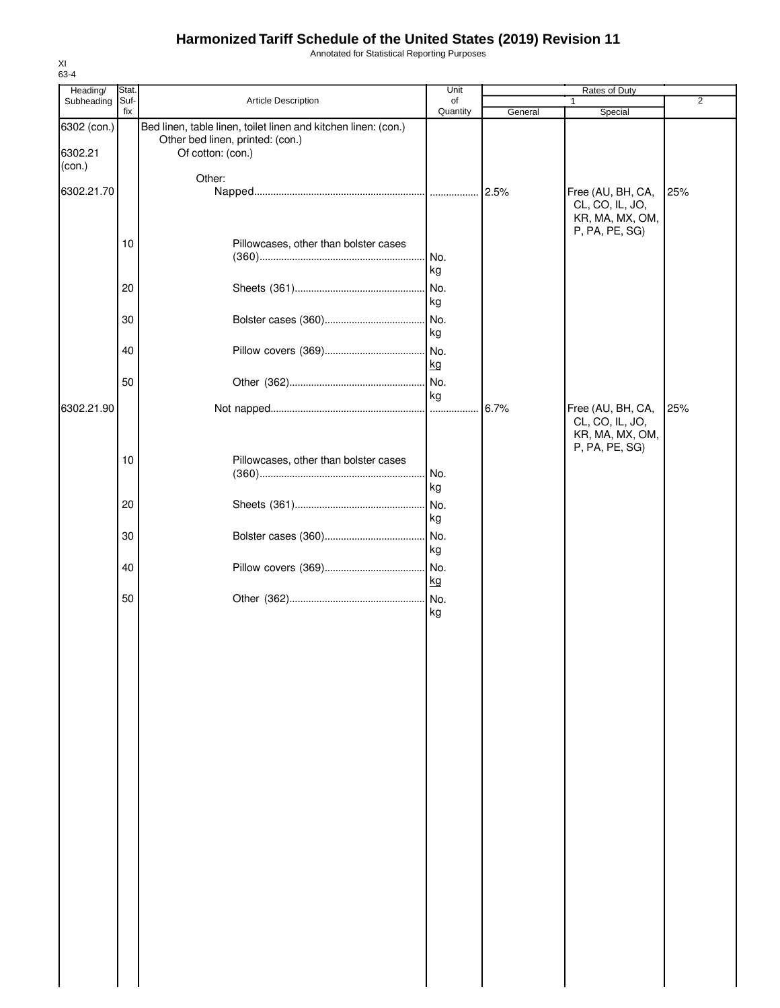Annotated for Statistical Reporting Purposes

| Heading/                         | Stat. |                                                                                                                         | Unit      |         | Rates of Duty                                                             |     |
|----------------------------------|-------|-------------------------------------------------------------------------------------------------------------------------|-----------|---------|---------------------------------------------------------------------------|-----|
| Subheading                       | Suf-  | Article Description                                                                                                     | of        |         | 1                                                                         | 2   |
|                                  | fix   |                                                                                                                         | Quantity  | General | Special                                                                   |     |
| 6302 (con.)<br>6302.21<br>(con.) |       | Bed linen, table linen, toilet linen and kitchen linen: (con.)<br>Other bed linen, printed: (con.)<br>Of cotton: (con.) |           |         |                                                                           |     |
|                                  |       | Other:                                                                                                                  |           |         |                                                                           |     |
| 6302.21.70                       |       |                                                                                                                         |           | 2.5%    | Free (AU, BH, CA,                                                         | 25% |
|                                  | 10    | Pillowcases, other than bolster cases                                                                                   |           |         | CL, CO, IL, JO,<br>KR, MA, MX, OM,<br>P, PA, PE, SG)                      |     |
|                                  |       |                                                                                                                         | No.<br>kg |         |                                                                           |     |
|                                  | 20    |                                                                                                                         | No.       |         |                                                                           |     |
|                                  |       |                                                                                                                         | kg        |         |                                                                           |     |
|                                  | 30    |                                                                                                                         | No.       |         |                                                                           |     |
|                                  |       |                                                                                                                         | kg        |         |                                                                           |     |
|                                  |       |                                                                                                                         |           |         |                                                                           |     |
|                                  | 40    |                                                                                                                         | . No.     |         |                                                                           |     |
|                                  |       |                                                                                                                         | kg        |         |                                                                           |     |
|                                  | 50    |                                                                                                                         | No.       |         |                                                                           |     |
|                                  |       |                                                                                                                         | kg        |         |                                                                           |     |
| 6302.21.90                       |       |                                                                                                                         |           | 6.7%    | Free (AU, BH, CA,<br>CL, CO, IL, JO,<br>KR, MA, MX, OM,<br>P, PA, PE, SG) | 25% |
|                                  | 10    | Pillowcases, other than bolster cases                                                                                   | No.<br>kg |         |                                                                           |     |
|                                  | 20    |                                                                                                                         | No.<br>kg |         |                                                                           |     |
|                                  | 30    |                                                                                                                         | No.<br>kg |         |                                                                           |     |
|                                  | 40    |                                                                                                                         | No.<br>kg |         |                                                                           |     |
|                                  | 50    |                                                                                                                         | kg        |         |                                                                           |     |
|                                  |       |                                                                                                                         |           |         |                                                                           |     |
|                                  |       |                                                                                                                         |           |         |                                                                           |     |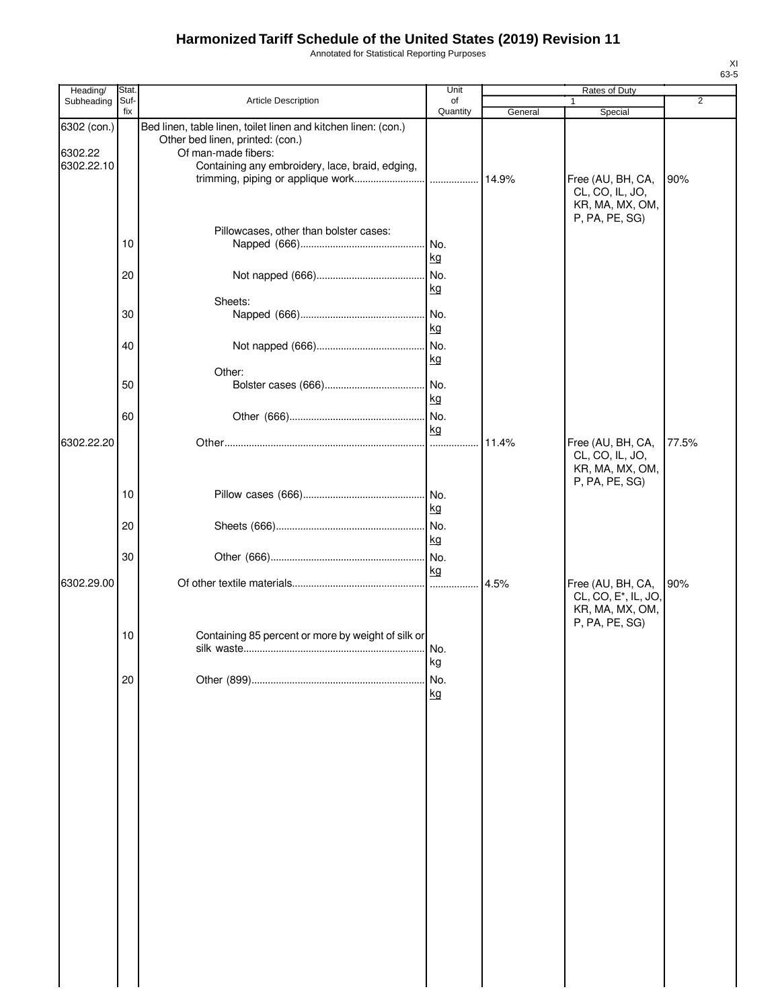Annotated for Statistical Reporting Purposes

| Heading/                             | Stat.       |                                                                                                                                                                              | Unit           |         | Rates of Duty                                                                              |                |
|--------------------------------------|-------------|------------------------------------------------------------------------------------------------------------------------------------------------------------------------------|----------------|---------|--------------------------------------------------------------------------------------------|----------------|
| Subheading                           | Suf-<br>fix | Article Description                                                                                                                                                          | of<br>Quantity | General | 1<br>Special                                                                               | $\overline{2}$ |
| 6302 (con.)<br>6302.22<br>6302.22.10 |             | Bed linen, table linen, toilet linen and kitchen linen: (con.)<br>Other bed linen, printed: (con.)<br>Of man-made fibers:<br>Containing any embroidery, lace, braid, edging, |                |         | Free (AU, BH, CA,<br>CL, CO, IL, JO,<br>KR, MA, MX, OM,<br>P, PA, PE, SG)                  | 90%            |
|                                      | 10          | Pillowcases, other than bolster cases:                                                                                                                                       | No.<br>kg      |         |                                                                                            |                |
|                                      | 20          |                                                                                                                                                                              | .l No.<br>kg   |         |                                                                                            |                |
|                                      | 30          | Sheets:                                                                                                                                                                      | No.<br>kg      |         |                                                                                            |                |
|                                      | 40          |                                                                                                                                                                              | No.<br>kg      |         |                                                                                            |                |
|                                      | 50          | Other:                                                                                                                                                                       | kg             |         |                                                                                            |                |
| 6302.22.20                           | 60          |                                                                                                                                                                              | kg             | 11.4%   | Free (AU, BH, CA,<br>CL, CO, IL, JO,                                                       | 77.5%          |
|                                      | 10          |                                                                                                                                                                              | kg             |         | KR, MA, MX, OM,<br>P, PA, PE, SG)                                                          |                |
|                                      | 20          |                                                                                                                                                                              | kg             |         |                                                                                            |                |
|                                      | 30          |                                                                                                                                                                              | kg             |         |                                                                                            |                |
| 6302.29.00                           |             |                                                                                                                                                                              |                | 4.5%    | Free (AU, BH, CA,<br>CL, CO, E <sup>*</sup> , IL, JO,<br>KR, MA, MX, OM,<br>P, PA, PE, SG) | 90%            |
|                                      | 10          | Containing 85 percent or more by weight of silk or                                                                                                                           | No.<br>kg      |         |                                                                                            |                |
|                                      | 20          |                                                                                                                                                                              | No.<br>kg      |         |                                                                                            |                |
|                                      |             |                                                                                                                                                                              |                |         |                                                                                            |                |
|                                      |             |                                                                                                                                                                              |                |         |                                                                                            |                |
|                                      |             |                                                                                                                                                                              |                |         |                                                                                            |                |
|                                      |             |                                                                                                                                                                              |                |         |                                                                                            |                |
|                                      |             |                                                                                                                                                                              |                |         |                                                                                            |                |
|                                      |             |                                                                                                                                                                              |                |         |                                                                                            |                |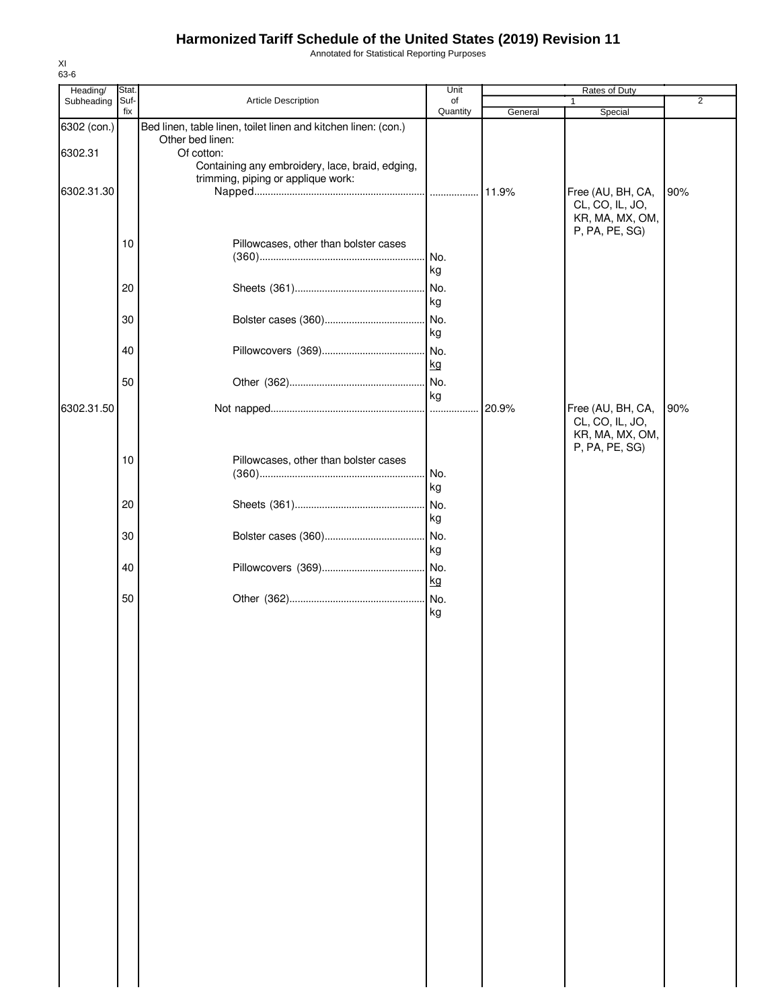Annotated for Statistical Reporting Purposes

| Heading/    | Stat.       |                                                                | Unit           |         | Rates of Duty                      |                |
|-------------|-------------|----------------------------------------------------------------|----------------|---------|------------------------------------|----------------|
| Subheading  | Suf-<br>fix | Article Description                                            | of<br>Quantity | General | 1                                  | $\overline{2}$ |
| 6302 (con.) |             | Bed linen, table linen, toilet linen and kitchen linen: (con.) |                |         | Special                            |                |
|             |             | Other bed linen:                                               |                |         |                                    |                |
| 6302.31     |             | Of cotton:                                                     |                |         |                                    |                |
|             |             | Containing any embroidery, lace, braid, edging,                |                |         |                                    |                |
|             |             | trimming, piping or applique work:                             |                |         |                                    |                |
| 6302.31.30  |             |                                                                |                |         | Free (AU, BH, CA,                  | 90%            |
|             |             |                                                                |                |         | CL, CO, IL, JO,<br>KR, MA, MX, OM, |                |
|             |             |                                                                |                |         | P, PA, PE, SG)                     |                |
|             | 10          | Pillowcases, other than bolster cases                          |                |         |                                    |                |
|             |             |                                                                | No.            |         |                                    |                |
|             |             |                                                                | kg             |         |                                    |                |
|             | 20          |                                                                | No.            |         |                                    |                |
|             |             |                                                                | kg             |         |                                    |                |
|             | 30          |                                                                | No.            |         |                                    |                |
|             |             |                                                                | kg             |         |                                    |                |
|             |             |                                                                |                |         |                                    |                |
|             | 40          |                                                                | No.            |         |                                    |                |
|             |             |                                                                | kg             |         |                                    |                |
|             | 50          |                                                                | No.            |         |                                    |                |
| 6302.31.50  |             |                                                                | kg             | 20.9%   | Free (AU, BH, CA,                  | 90%            |
|             |             |                                                                |                |         | CL, CO, IL, JO,                    |                |
|             |             |                                                                |                |         | KR, MA, MX, OM,                    |                |
|             |             |                                                                |                |         | P, PA, PE, SG)                     |                |
|             | 10          | Pillowcases, other than bolster cases                          |                |         |                                    |                |
|             |             |                                                                | . No.          |         |                                    |                |
|             |             |                                                                | kg             |         |                                    |                |
|             | 20          |                                                                | INo.           |         |                                    |                |
|             |             |                                                                | kg             |         |                                    |                |
|             | 30          |                                                                | No.            |         |                                    |                |
|             |             |                                                                | kg             |         |                                    |                |
|             | 40          |                                                                | No.            |         |                                    |                |
|             |             |                                                                | kg             |         |                                    |                |
|             | 50          |                                                                |                |         |                                    |                |
|             |             |                                                                | kg             |         |                                    |                |
|             |             |                                                                |                |         |                                    |                |
|             |             |                                                                |                |         |                                    |                |
|             |             |                                                                |                |         |                                    |                |
|             |             |                                                                |                |         |                                    |                |
|             |             |                                                                |                |         |                                    |                |
|             |             |                                                                |                |         |                                    |                |
|             |             |                                                                |                |         |                                    |                |
|             |             |                                                                |                |         |                                    |                |
|             |             |                                                                |                |         |                                    |                |
|             |             |                                                                |                |         |                                    |                |
|             |             |                                                                |                |         |                                    |                |
|             |             |                                                                |                |         |                                    |                |
|             |             |                                                                |                |         |                                    |                |
|             |             |                                                                |                |         |                                    |                |
|             |             |                                                                |                |         |                                    |                |
|             |             |                                                                |                |         |                                    |                |
|             |             |                                                                |                |         |                                    |                |
|             |             |                                                                |                |         |                                    |                |
|             |             |                                                                |                |         |                                    |                |
|             |             |                                                                |                |         |                                    |                |
|             |             |                                                                |                |         |                                    |                |
|             |             |                                                                |                |         |                                    |                |
|             |             |                                                                |                |         |                                    |                |
|             |             |                                                                |                |         |                                    |                |
|             |             |                                                                |                |         |                                    |                |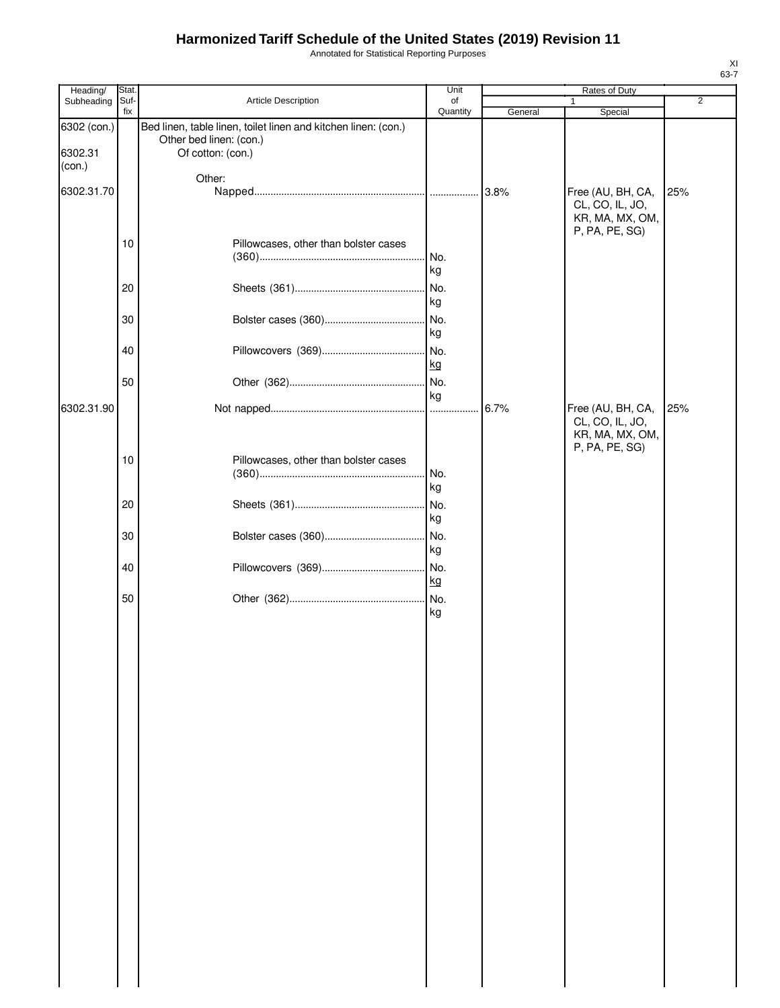Annotated for Statistical Reporting Purposes

| Heading/                         | Stat. |                                                                                                                | Unit     |         | Rates of Duty                                                             |                |
|----------------------------------|-------|----------------------------------------------------------------------------------------------------------------|----------|---------|---------------------------------------------------------------------------|----------------|
| Subheading                       | Suf-  | Article Description                                                                                            | of       |         | $\mathbf{1}$                                                              | $\overline{2}$ |
| 6302 (con.)<br>6302.31<br>(con.) | fix   | Bed linen, table linen, toilet linen and kitchen linen: (con.)<br>Other bed linen: (con.)<br>Of cotton: (con.) | Quantity | General | Special                                                                   |                |
|                                  |       | Other:                                                                                                         |          |         |                                                                           |                |
| 6302.31.70                       |       |                                                                                                                |          | 3.8%    | Free (AU, BH, CA,                                                         | 25%            |
|                                  | 10    | Pillowcases, other than bolster cases                                                                          | No.      |         | CL, CO, IL, JO,<br>KR, MA, MX, OM,<br>P, PA, PE, SG)                      |                |
|                                  |       |                                                                                                                | kg       |         |                                                                           |                |
|                                  | 20    |                                                                                                                | No.      |         |                                                                           |                |
|                                  |       |                                                                                                                | kg       |         |                                                                           |                |
|                                  | 30    |                                                                                                                |          |         |                                                                           |                |
|                                  |       |                                                                                                                | kg       |         |                                                                           |                |
|                                  | 40    |                                                                                                                |          |         |                                                                           |                |
|                                  |       |                                                                                                                |          |         |                                                                           |                |
|                                  |       |                                                                                                                | kg       |         |                                                                           |                |
|                                  | 50    |                                                                                                                |          |         |                                                                           |                |
|                                  |       |                                                                                                                | kg       |         |                                                                           |                |
| 6302.31.90                       |       |                                                                                                                |          | 6.7%    | Free (AU, BH, CA,<br>CL, CO, IL, JO,<br>KR, MA, MX, OM,<br>P, PA, PE, SG) | 25%            |
|                                  | 10    | Pillowcases, other than bolster cases                                                                          |          |         |                                                                           |                |
|                                  |       |                                                                                                                | No.      |         |                                                                           |                |
|                                  |       |                                                                                                                | kg       |         |                                                                           |                |
|                                  | 20    |                                                                                                                | No.      |         |                                                                           |                |
|                                  |       |                                                                                                                | kg       |         |                                                                           |                |
|                                  | 30    |                                                                                                                | No.      |         |                                                                           |                |
|                                  |       |                                                                                                                | kg       |         |                                                                           |                |
|                                  | 40    |                                                                                                                | No.      |         |                                                                           |                |
|                                  |       |                                                                                                                | kg       |         |                                                                           |                |
|                                  | 50    |                                                                                                                |          |         |                                                                           |                |
|                                  |       |                                                                                                                | kg       |         |                                                                           |                |
|                                  |       |                                                                                                                |          |         |                                                                           |                |
|                                  |       |                                                                                                                |          |         |                                                                           |                |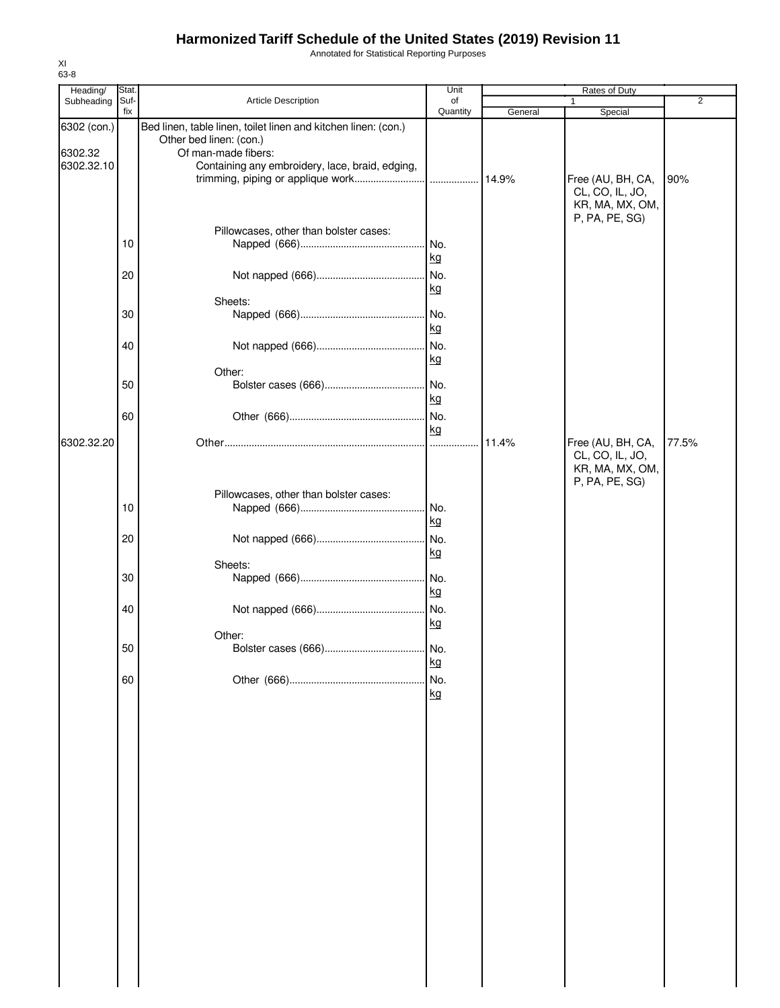Annotated for Statistical Reporting Purposes

| Heading/               | Stat. |                                                                                                                  | Unit      |         | Rates of Duty                                           |                |
|------------------------|-------|------------------------------------------------------------------------------------------------------------------|-----------|---------|---------------------------------------------------------|----------------|
| Subheading             | Suf-  | Article Description                                                                                              | of        |         | 1                                                       | $\overline{2}$ |
|                        | fix   |                                                                                                                  | Quantity  | General | Special                                                 |                |
| 6302 (con.)<br>6302.32 |       | Bed linen, table linen, toilet linen and kitchen linen: (con.)<br>Other bed linen: (con.)<br>Of man-made fibers: |           |         |                                                         |                |
| 6302.32.10             |       | Containing any embroidery, lace, braid, edging,                                                                  |           |         | Free (AU, BH, CA,<br>CL, CO, IL, JO,<br>KR, MA, MX, OM, | 90%            |
|                        | 10    | Pillowcases, other than bolster cases:                                                                           | No.       |         | P, PA, PE, SG)                                          |                |
|                        | 20    |                                                                                                                  | kg<br>No. |         |                                                         |                |
|                        |       |                                                                                                                  | kg        |         |                                                         |                |
|                        | 30    | Sheets:                                                                                                          | No.<br>kg |         |                                                         |                |
|                        | 40    |                                                                                                                  | No.<br>kg |         |                                                         |                |
|                        | 50    | Other:                                                                                                           | No.<br>kg |         |                                                         |                |
|                        | 60    |                                                                                                                  | No.<br>kg |         |                                                         |                |
| 6302.32.20             |       |                                                                                                                  |           | 11.4%   | Free (AU, BH, CA,<br>CL, CO, IL, JO,<br>KR, MA, MX, OM, | 77.5%          |
|                        | 10    | Pillowcases, other than bolster cases:                                                                           | No.       |         | P, PA, PE, SG)                                          |                |
|                        | 20    |                                                                                                                  | kg<br>No. |         |                                                         |                |
|                        |       |                                                                                                                  | kg        |         |                                                         |                |
|                        |       | Sheets:                                                                                                          |           |         |                                                         |                |
|                        | 30    |                                                                                                                  | No.<br>kg |         |                                                         |                |
|                        | 40    | Other:                                                                                                           | No.<br>kg |         |                                                         |                |
|                        | 50    |                                                                                                                  | No.<br>kg |         |                                                         |                |
|                        | 60    |                                                                                                                  | No.<br>kg |         |                                                         |                |
|                        |       |                                                                                                                  |           |         |                                                         |                |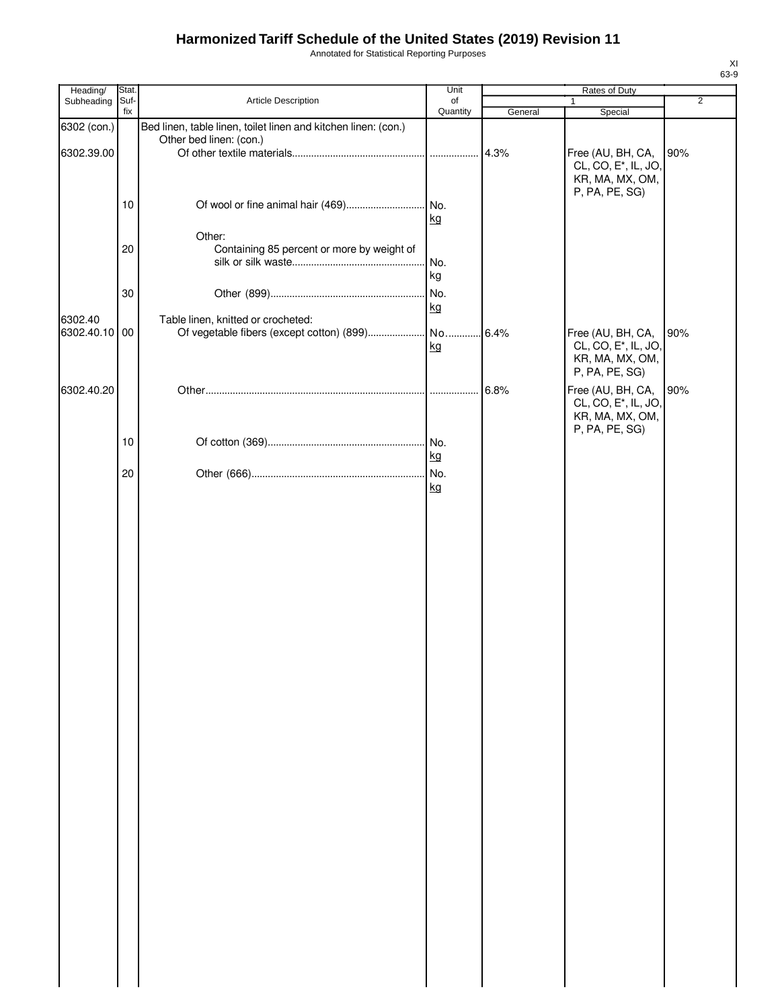Annotated for Statistical Reporting Purposes

| Heading/                  | Stat.       |                                                                                           | Unit           |         | Rates of Duty                                                                              |                |
|---------------------------|-------------|-------------------------------------------------------------------------------------------|----------------|---------|--------------------------------------------------------------------------------------------|----------------|
| Subheading                | Suf-<br>fix | Article Description                                                                       | of<br>Quantity | General | 1<br>Special                                                                               | $\overline{2}$ |
| 6302 (con.)<br>6302.39.00 |             | Bed linen, table linen, toilet linen and kitchen linen: (con.)<br>Other bed linen: (con.) |                | 4.3%    | Free (AU, BH, CA,<br>CL, CO, E <sup>*</sup> , IL, JO,                                      | 90%            |
|                           | 10          |                                                                                           | kg             |         | KR, MA, MX, OM,<br>P, PA, PE, SG)                                                          |                |
|                           | 20          | Other:<br>Containing 85 percent or more by weight of                                      | No.<br>kg      |         |                                                                                            |                |
|                           | 30          |                                                                                           | No.<br>kg      |         |                                                                                            |                |
| 6302.40<br>6302.40.10 00  |             | Table linen, knitted or crocheted:                                                        | kg             | 6.4%    | Free (AU, BH, CA,<br>CL, CO, E <sup>*</sup> , IL, JO,<br>KR, MA, MX, OM,<br>P, PA, PE, SG) | 90%            |
| 6302.40.20                |             |                                                                                           |                | 6.8%    | Free (AU, BH, CA,<br>CL, CO, E <sup>*</sup> , IL, JO,<br>KR, MA, MX, OM,<br>P, PA, PE, SG) | 90%            |
|                           | 10          |                                                                                           | No.<br>kg      |         |                                                                                            |                |
|                           | 20          |                                                                                           | No.<br>kg      |         |                                                                                            |                |
|                           |             |                                                                                           |                |         |                                                                                            |                |
|                           |             |                                                                                           |                |         |                                                                                            |                |
|                           |             |                                                                                           |                |         |                                                                                            |                |
|                           |             |                                                                                           |                |         |                                                                                            |                |
|                           |             |                                                                                           |                |         |                                                                                            |                |
|                           |             |                                                                                           |                |         |                                                                                            |                |
|                           |             |                                                                                           |                |         |                                                                                            |                |
|                           |             |                                                                                           |                |         |                                                                                            |                |
|                           |             |                                                                                           |                |         |                                                                                            |                |
|                           |             |                                                                                           |                |         |                                                                                            |                |
|                           |             |                                                                                           |                |         |                                                                                            |                |
|                           |             |                                                                                           |                |         |                                                                                            |                |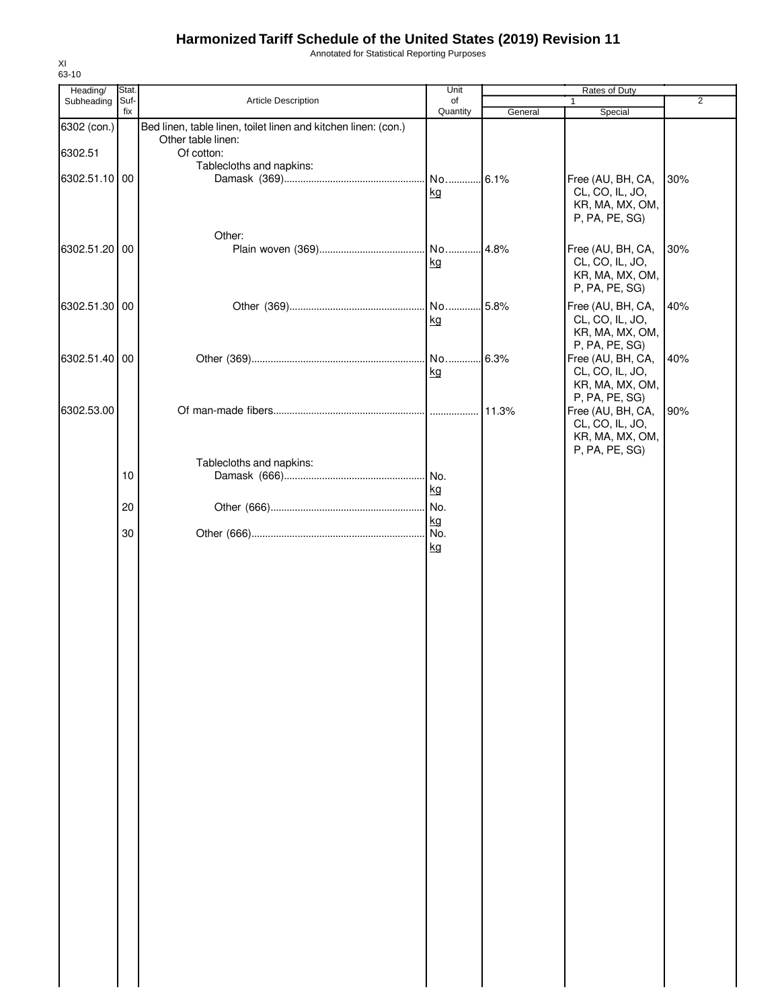Annotated for Statistical Reporting Purposes

| Heading/      | Stat. |                                                                | Unit            |         | Rates of Duty                                                             |                |
|---------------|-------|----------------------------------------------------------------|-----------------|---------|---------------------------------------------------------------------------|----------------|
| Subheading    | Suf-  | Article Description                                            | of              |         | 1                                                                         | $\overline{2}$ |
| 6302 (con.)   | fix   | Bed linen, table linen, toilet linen and kitchen linen: (con.) | Quantity        | General | Special                                                                   |                |
| 6302.51       |       | Other table linen:<br>Of cotton:                               |                 |         |                                                                           |                |
| 6302.51.10 00 |       | Tablecloths and napkins:                                       | No 6.1%<br>kg   |         | Free (AU, BH, CA,<br>CL, CO, IL, JO,<br>KR, MA, MX, OM,<br>P, PA, PE, SG) | 30%            |
| 6302.51.20 00 |       | Other:                                                         | No 4.8%<br>kg   |         | Free (AU, BH, CA,<br>CL, CO, IL, JO,<br>KR, MA, MX, OM,<br>P, PA, PE, SG) | 30%            |
| 6302.51.30 00 |       |                                                                | No 5.8%<br>kg   |         | Free (AU, BH, CA,<br>CL, CO, IL, JO,<br>KR, MA, MX, OM,<br>P, PA, PE, SG) | 40%            |
| 6302.51.40 00 |       |                                                                | No<br>kg        | 6.3%    | Free (AU, BH, CA,<br>CL, CO, IL, JO,<br>KR, MA, MX, OM,<br>P, PA, PE, SG) | 40%            |
| 6302.53.00    |       |                                                                |                 | 11.3%   | Free (AU, BH, CA,<br>CL, CO, IL, JO,<br>KR, MA, MX, OM,<br>P, PA, PE, SG) | 90%            |
|               | 10    | Tablecloths and napkins:                                       | . No.<br>kg     |         |                                                                           |                |
|               | 20    |                                                                | No.             |         |                                                                           |                |
|               | 30    |                                                                | kg<br>No.<br>kg |         |                                                                           |                |
|               |       |                                                                |                 |         |                                                                           |                |
|               |       |                                                                |                 |         |                                                                           |                |
|               |       |                                                                |                 |         |                                                                           |                |
|               |       |                                                                |                 |         |                                                                           |                |
|               |       |                                                                |                 |         |                                                                           |                |
|               |       |                                                                |                 |         |                                                                           |                |
|               |       |                                                                |                 |         |                                                                           |                |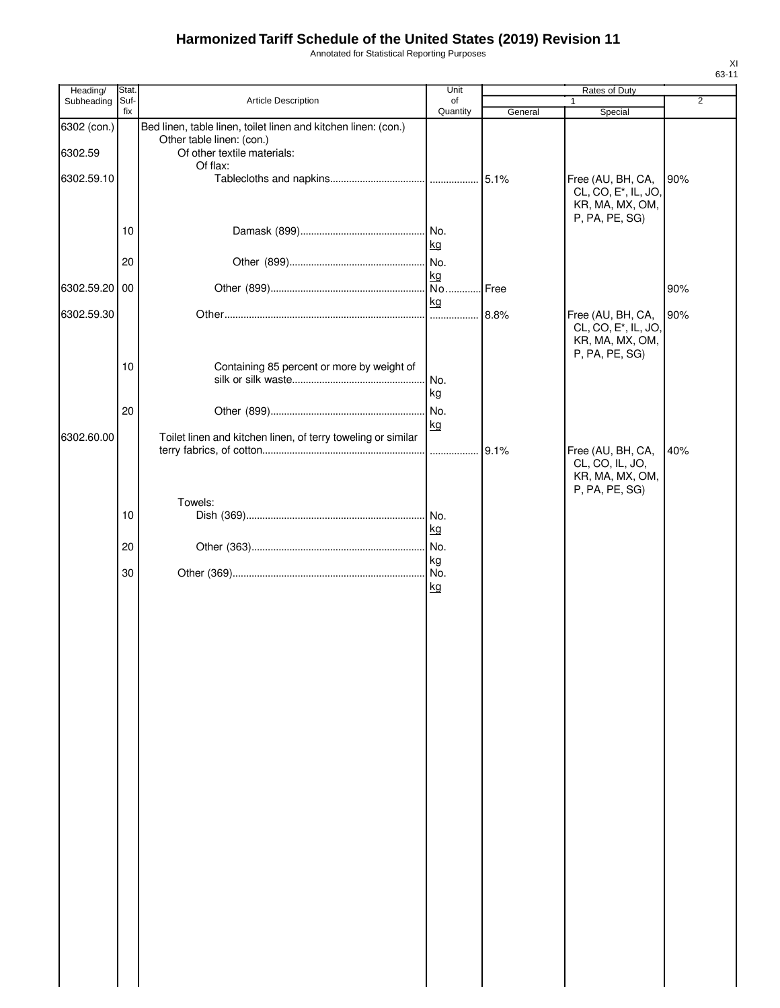Annotated for Statistical Reporting Purposes

| Heading/               | Stat.       |                                                                                                                                        | Unit                   |         | Rates of Duty                                                                              |                |
|------------------------|-------------|----------------------------------------------------------------------------------------------------------------------------------------|------------------------|---------|--------------------------------------------------------------------------------------------|----------------|
| Subheading             | Suf-<br>fix | Article Description                                                                                                                    | of<br>Quantity         | General | $\mathbf{1}$<br>Special                                                                    | $\overline{2}$ |
| 6302 (con.)<br>6302.59 |             | Bed linen, table linen, toilet linen and kitchen linen: (con.)<br>Other table linen: (con.)<br>Of other textile materials:<br>Of flax: |                        |         |                                                                                            |                |
| 6302.59.10             |             |                                                                                                                                        |                        | 5.1%    | Free (AU, BH, CA,<br>CL, CO, E <sup>*</sup> , IL, JO,<br>KR, MA, MX, OM,<br>P, PA, PE, SG) | 90%            |
|                        | 10          |                                                                                                                                        | No.<br>kg              |         |                                                                                            |                |
| 6302.59.20 00          | 20          |                                                                                                                                        | No.<br>kg<br>No.       | Free    |                                                                                            | 90%            |
|                        |             |                                                                                                                                        | kg                     |         |                                                                                            |                |
| 6302.59.30             |             |                                                                                                                                        | .                      | 8.8%    | Free (AU, BH, CA,<br>CL, CO, E <sup>*</sup> , IL, JO,<br>KR, MA, MX, OM,<br>P, PA, PE, SG) | 90%            |
|                        | 10          | Containing 85 percent or more by weight of                                                                                             | No.<br>kg              |         |                                                                                            |                |
|                        | 20          |                                                                                                                                        | No.                    |         |                                                                                            |                |
| 6302.60.00             |             | Toilet linen and kitchen linen, of terry toweling or similar                                                                           | kg<br>.                | 9.1%    | Free (AU, BH, CA,<br>CL, CO, IL, JO,                                                       | 40%            |
|                        |             | Towels:                                                                                                                                |                        |         | KR, MA, MX, OM,<br>P, PA, PE, SG)                                                          |                |
|                        | 10          |                                                                                                                                        | No.<br>kg              |         |                                                                                            |                |
|                        | 20          |                                                                                                                                        | No.                    |         |                                                                                            |                |
|                        | 30          |                                                                                                                                        | kg<br>No.<br><u>kg</u> |         |                                                                                            |                |
|                        |             |                                                                                                                                        |                        |         |                                                                                            |                |
|                        |             |                                                                                                                                        |                        |         |                                                                                            |                |
|                        |             |                                                                                                                                        |                        |         |                                                                                            |                |
|                        |             |                                                                                                                                        |                        |         |                                                                                            |                |
|                        |             |                                                                                                                                        |                        |         |                                                                                            |                |
|                        |             |                                                                                                                                        |                        |         |                                                                                            |                |
|                        |             |                                                                                                                                        |                        |         |                                                                                            |                |
|                        |             |                                                                                                                                        |                        |         |                                                                                            |                |
|                        |             |                                                                                                                                        |                        |         |                                                                                            |                |
|                        |             |                                                                                                                                        |                        |         |                                                                                            |                |
|                        |             |                                                                                                                                        |                        |         |                                                                                            |                |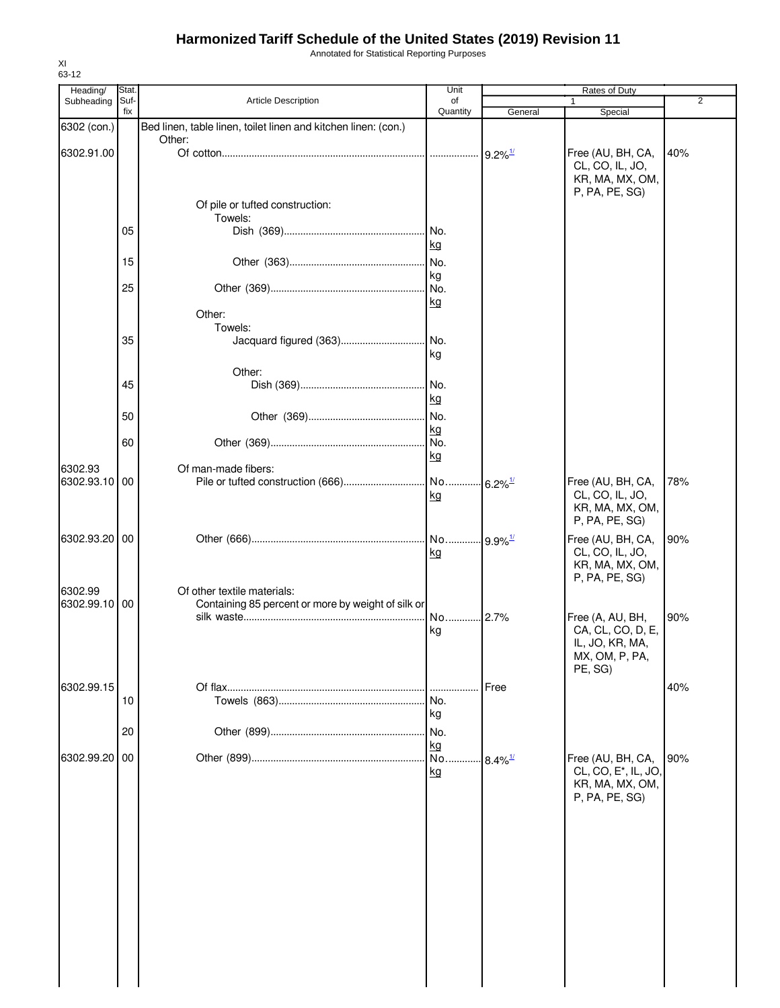Annotated for Statistical Reporting Purposes

| Heading/<br>Subheading | Stat.<br>Suf- | <b>Article Description</b>                                     | Unit<br>of |                        | Rates of Duty                     | $\overline{2}$ |
|------------------------|---------------|----------------------------------------------------------------|------------|------------------------|-----------------------------------|----------------|
|                        | fix           |                                                                | Quantity   | General                | Special                           |                |
| 6302 (con.)            |               | Bed linen, table linen, toilet linen and kitchen linen: (con.) |            |                        |                                   |                |
|                        |               | Other:                                                         |            |                        |                                   |                |
| 6302.91.00             |               |                                                                |            | $9.2\%$ <sup>1/</sup>  | Free (AU, BH, CA,                 | 40%            |
|                        |               |                                                                |            |                        | CL, CO, IL, JO,                   |                |
|                        |               |                                                                |            |                        | KR, MA, MX, OM,                   |                |
|                        |               |                                                                |            |                        | P, PA, PE, SG)                    |                |
|                        |               | Of pile or tufted construction:                                |            |                        |                                   |                |
|                        | 05            | Towels:                                                        | No.        |                        |                                   |                |
|                        |               |                                                                | kg         |                        |                                   |                |
|                        |               |                                                                |            |                        |                                   |                |
|                        | 15            |                                                                | No.        |                        |                                   |                |
|                        | 25            |                                                                | kg<br>No.  |                        |                                   |                |
|                        |               |                                                                | kg         |                        |                                   |                |
|                        |               | Other:                                                         |            |                        |                                   |                |
|                        |               | Towels:                                                        |            |                        |                                   |                |
|                        | 35            | Jacquard figured (363)                                         | No.        |                        |                                   |                |
|                        |               |                                                                | kg         |                        |                                   |                |
|                        |               | Other:                                                         |            |                        |                                   |                |
|                        | 45            |                                                                | No.        |                        |                                   |                |
|                        |               |                                                                | kg         |                        |                                   |                |
|                        | 50            |                                                                | No.        |                        |                                   |                |
|                        |               |                                                                | kg         |                        |                                   |                |
|                        | 60            |                                                                | No.        |                        |                                   |                |
|                        |               |                                                                | kg         |                        |                                   |                |
| 6302.93                |               | Of man-made fibers:                                            |            |                        |                                   |                |
| 6302.93.10             | 00            |                                                                | No         | $.6.2\%$ <sup>1/</sup> | Free (AU, BH, CA,                 | 78%            |
|                        |               |                                                                | kg         |                        | CL, CO, IL, JO,                   |                |
|                        |               |                                                                |            |                        | KR, MA, MX, OM,                   |                |
|                        |               |                                                                |            |                        | P, PA, PE, SG)                    |                |
| 6302.93.20 00          |               |                                                                | No         | $.9.9\%$ <sup>1/</sup> | Free (AU, BH, CA,                 | 90%            |
|                        |               |                                                                | kg         |                        | CL, CO, IL, JO,                   |                |
|                        |               |                                                                |            |                        | KR, MA, MX, OM,<br>P, PA, PE, SG) |                |
| 6302.99                |               | Of other textile materials:                                    |            |                        |                                   |                |
| 6302.99.10 00          |               | Containing 85 percent or more by weight of silk or             |            |                        |                                   |                |
|                        |               |                                                                | No 2.7%    |                        | Free (A, AU, BH,                  | 90%            |
|                        |               |                                                                | kg         |                        | CA, CL, CO, D, E,                 |                |
|                        |               |                                                                |            |                        | IL, JO, KR, MA,                   |                |
|                        |               |                                                                |            |                        | MX, OM, P, PA,                    |                |
|                        |               |                                                                |            |                        | PE, SG)                           |                |
| 6302.99.15             |               |                                                                |            | Free                   |                                   | 40%            |
|                        | 10            |                                                                | No.        |                        |                                   |                |
|                        |               |                                                                | kg         |                        |                                   |                |
|                        | 20            |                                                                | No.        |                        |                                   |                |
|                        |               |                                                                | kg         |                        |                                   |                |
| 6302.99.20             | 00            |                                                                | No.        | $8.4\%$ <sup>1/</sup>  | Free (AU, BH, CA,                 | 90%            |
|                        |               |                                                                | kg         |                        | CL, CO, E <sup>*</sup> , IL, JO,  |                |
|                        |               |                                                                |            |                        | KR, MA, MX, OM,                   |                |
|                        |               |                                                                |            |                        | P, PA, PE, SG)                    |                |
|                        |               |                                                                |            |                        |                                   |                |
|                        |               |                                                                |            |                        |                                   |                |
|                        |               |                                                                |            |                        |                                   |                |
|                        |               |                                                                |            |                        |                                   |                |
|                        |               |                                                                |            |                        |                                   |                |
|                        |               |                                                                |            |                        |                                   |                |
|                        |               |                                                                |            |                        |                                   |                |
|                        |               |                                                                |            |                        |                                   |                |
|                        |               |                                                                |            |                        |                                   |                |
|                        |               |                                                                |            |                        |                                   |                |
|                        |               |                                                                |            |                        |                                   |                |
|                        |               |                                                                |            |                        |                                   |                |
|                        |               |                                                                |            |                        |                                   |                |

XI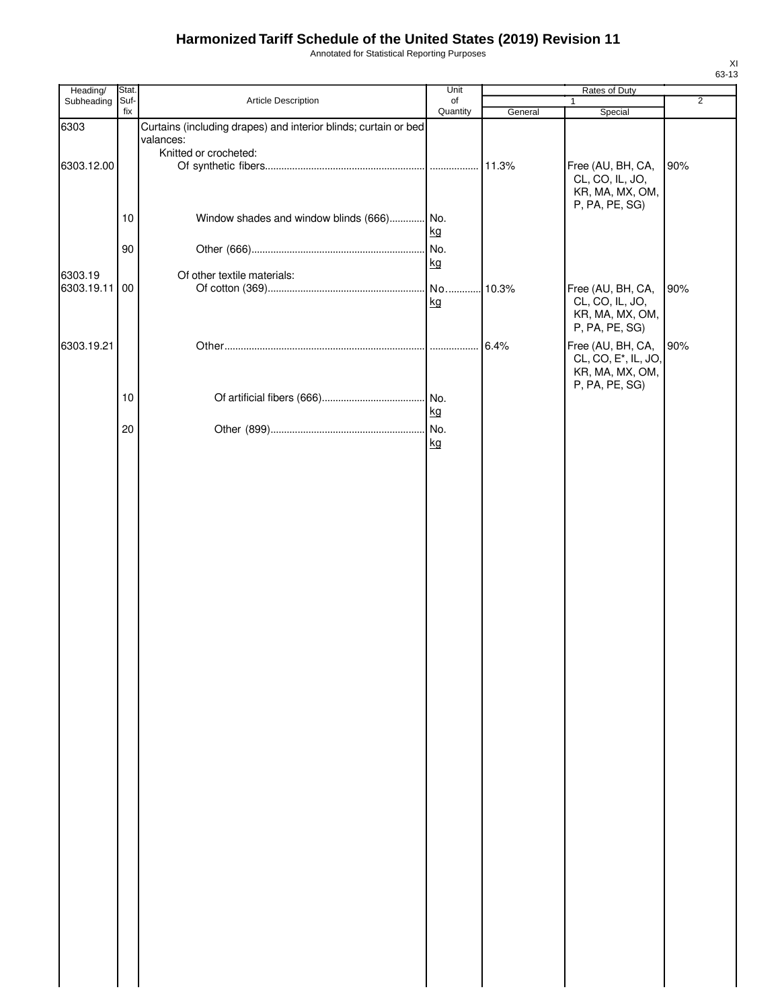Annotated for Statistical Reporting Purposes

| Heading/              | Stat.       |                                                                              | Unit           |         | Rates of Duty                                                                              |                |
|-----------------------|-------------|------------------------------------------------------------------------------|----------------|---------|--------------------------------------------------------------------------------------------|----------------|
| Subheading            | Suf-<br>fix | Article Description                                                          | of<br>Quantity | General | 1<br>Special                                                                               | $\overline{2}$ |
| 6303                  |             | Curtains (including drapes) and interior blinds; curtain or bed<br>valances: |                |         |                                                                                            |                |
|                       |             | Knitted or crocheted:                                                        |                |         |                                                                                            |                |
| 6303.12.00            |             |                                                                              |                | 11.3%   | Free (AU, BH, CA,<br>CL, CO, IL, JO,<br>KR, MA, MX, OM,                                    | 90%            |
|                       | 10          | Window shades and window blinds (666) No.                                    | kg             |         | P, PA, PE, SG)                                                                             |                |
|                       | 90          |                                                                              | No.<br>kg      |         |                                                                                            |                |
| 6303.19<br>6303.19.11 | 00          | Of other textile materials:                                                  | kg             | 10.3%   | Free (AU, BH, CA,<br>CL, CO, IL, JO,                                                       | 90%            |
|                       |             |                                                                              |                |         | KR, MA, MX, OM,<br>P, PA, PE, SG)                                                          |                |
| 6303.19.21            |             |                                                                              |                | 6.4%    | Free (AU, BH, CA,<br>CL, CO, E <sup>*</sup> , IL, JO,<br>KR, MA, MX, OM,<br>P, PA, PE, SG) | 90%            |
|                       | 10          |                                                                              | kg             |         |                                                                                            |                |
|                       | 20          |                                                                              | kg             |         |                                                                                            |                |
|                       |             |                                                                              |                |         |                                                                                            |                |
|                       |             |                                                                              |                |         |                                                                                            |                |
|                       |             |                                                                              |                |         |                                                                                            |                |
|                       |             |                                                                              |                |         |                                                                                            |                |
|                       |             |                                                                              |                |         |                                                                                            |                |
|                       |             |                                                                              |                |         |                                                                                            |                |
|                       |             |                                                                              |                |         |                                                                                            |                |
|                       |             |                                                                              |                |         |                                                                                            |                |
|                       |             |                                                                              |                |         |                                                                                            |                |
|                       |             |                                                                              |                |         |                                                                                            |                |
|                       |             |                                                                              |                |         |                                                                                            |                |
|                       |             |                                                                              |                |         |                                                                                            |                |
|                       |             |                                                                              |                |         |                                                                                            |                |
|                       |             |                                                                              |                |         |                                                                                            |                |
|                       |             |                                                                              |                |         |                                                                                            |                |
|                       |             |                                                                              |                |         |                                                                                            |                |
|                       |             |                                                                              |                |         |                                                                                            |                |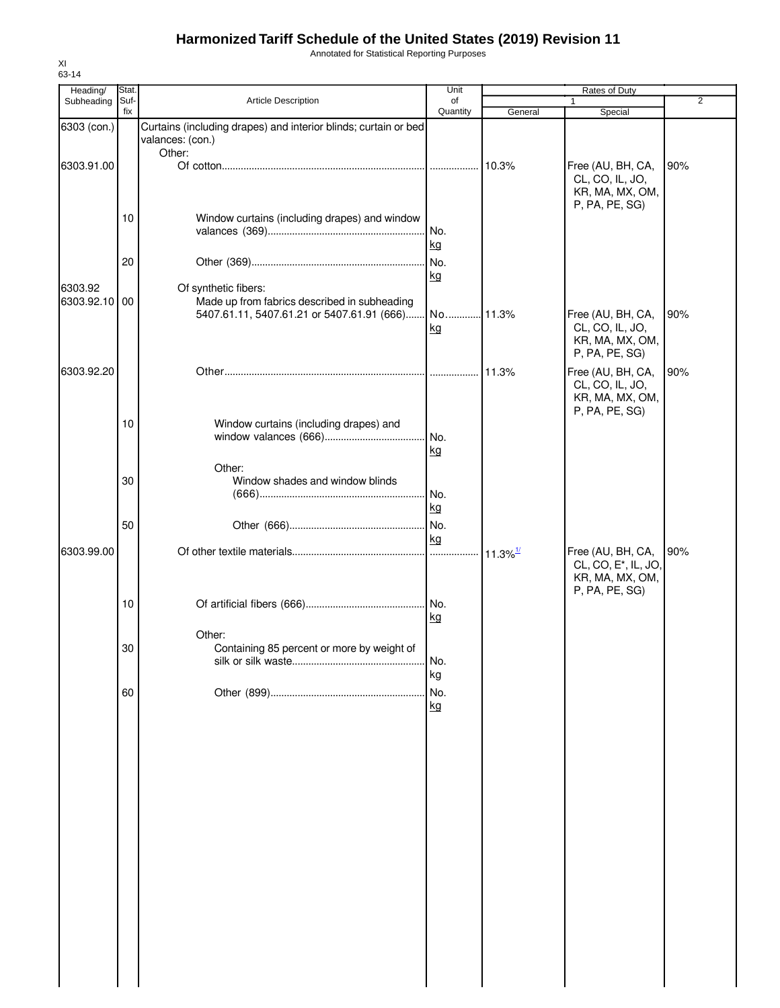Annotated for Statistical Reporting Purposes

| Stat. |                                                      | Unit                                                                   |                                                                                    | Rates of Duty                                                             | 2                                                |
|-------|------------------------------------------------------|------------------------------------------------------------------------|------------------------------------------------------------------------------------|---------------------------------------------------------------------------|--------------------------------------------------|
| fix   |                                                      | Quantity                                                               | General                                                                            | Special                                                                   |                                                  |
|       | valances: (con.)                                     |                                                                        |                                                                                    |                                                                           |                                                  |
|       |                                                      |                                                                        |                                                                                    | Free (AU, BH, CA,<br>CL, CO, IL, JO,<br>KR, MA, MX, OM,                   | 90%                                              |
| 10    | Window curtains (including drapes) and window        | No.<br>kg                                                              |                                                                                    |                                                                           |                                                  |
| 20    |                                                      | kg                                                                     |                                                                                    |                                                                           |                                                  |
|       | Made up from fabrics described in subheading         | kg                                                                     |                                                                                    | Free (AU, BH, CA,<br>CL, CO, IL, JO,<br>KR, MA, MX, OM,<br>P, PA, PE, SG) | 90%                                              |
|       |                                                      |                                                                        | 11.3%                                                                              | Free (AU, BH, CA,<br>CL, CO, IL, JO,<br>KR, MA, MX, OM,<br>P, PA, PE, SG) | 90%                                              |
| 10    | Window curtains (including drapes) and               | kg                                                                     |                                                                                    |                                                                           |                                                  |
| 30    | Window shades and window blinds                      | No.<br>kg                                                              |                                                                                    |                                                                           |                                                  |
| 50    |                                                      | No.<br>kg                                                              |                                                                                    |                                                                           |                                                  |
|       |                                                      | .                                                                      |                                                                                    | Free (AU, BH, CA,<br>CL, CO, E <sup>*</sup> , IL, JO,<br>KR, MA, MX, OM,  | 90%                                              |
| 10    |                                                      | kg                                                                     |                                                                                    |                                                                           |                                                  |
| 30    | Other:<br>Containing 85 percent or more by weight of | No.                                                                    |                                                                                    |                                                                           |                                                  |
| 60    |                                                      | No.<br>kg                                                              |                                                                                    |                                                                           |                                                  |
|       |                                                      |                                                                        |                                                                                    |                                                                           |                                                  |
|       |                                                      |                                                                        |                                                                                    |                                                                           |                                                  |
|       |                                                      |                                                                        |                                                                                    |                                                                           |                                                  |
|       |                                                      |                                                                        |                                                                                    |                                                                           |                                                  |
|       |                                                      |                                                                        |                                                                                    |                                                                           |                                                  |
|       |                                                      |                                                                        |                                                                                    |                                                                           |                                                  |
|       | Suf-<br>6303.92.10 00                                | <b>Article Description</b><br>Other:<br>Of synthetic fibers:<br>Other: | of<br>Curtains (including drapes) and interior blinds; curtain or bed<br>No.<br>kg | 10.3%<br>$11.3\%$ <sup>1/</sup>                                           | $\mathbf{1}$<br>P, PA, PE, SG)<br>P, PA, PE, SG) |

XI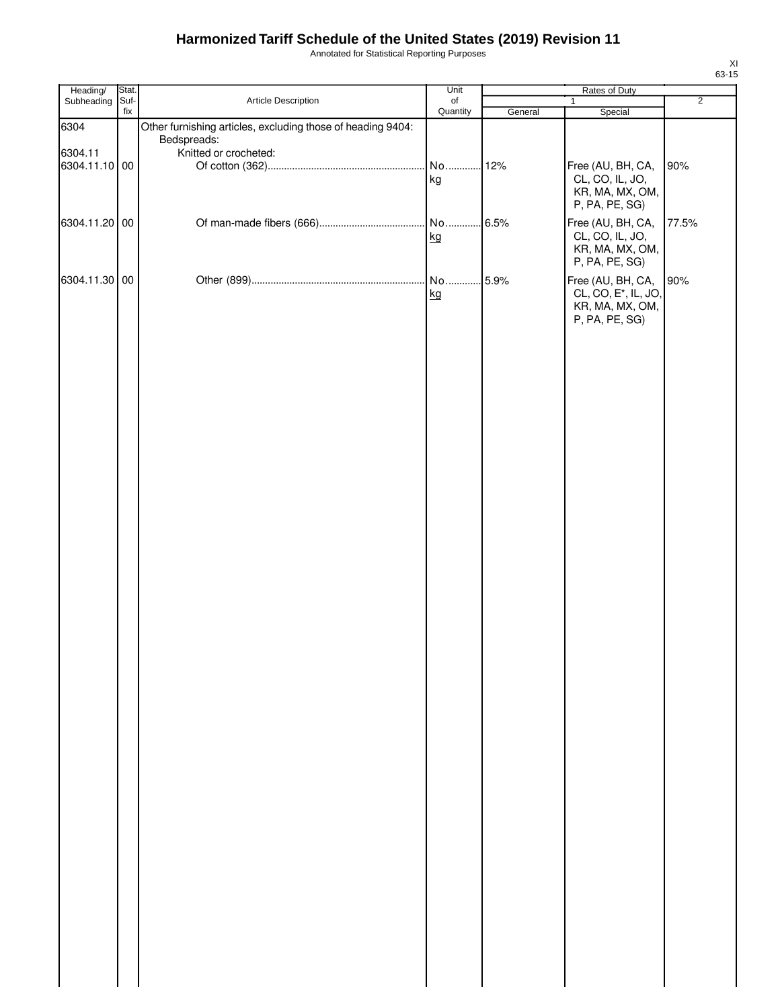Annotated for Statistical Reporting Purposes

| Heading/      | Stat.       |                                                                            | Unit           |         | Rates of Duty                                                                              |                |
|---------------|-------------|----------------------------------------------------------------------------|----------------|---------|--------------------------------------------------------------------------------------------|----------------|
| Subheading    | Suf-<br>fix | Article Description                                                        | of<br>Quantity | General | $\mathbf{1}$<br>Special                                                                    | $\overline{2}$ |
| 6304          |             | Other furnishing articles, excluding those of heading 9404:<br>Bedspreads: |                |         |                                                                                            |                |
| 6304.11       |             | Knitted or crocheted:                                                      |                |         |                                                                                            |                |
| 6304.11.10 00 |             |                                                                            | No<br>kg       | 12%     | Free (AU, BH, CA,<br>CL, CO, IL, JO,<br>KR, MA, MX, OM,<br>P, PA, PE, SG)                  | 90%            |
| 6304.11.20 00 |             |                                                                            | kg             | .6.5%   | Free (AU, BH, CA,<br>CL, CO, IL, JO,<br>KR, MA, MX, OM,<br>P, PA, PE, SG)                  | 77.5%          |
| 6304.11.30 00 |             |                                                                            | No<br>kg       | 5.9%    | Free (AU, BH, CA,<br>CL, CO, E <sup>*</sup> , IL, JO,<br>KR, MA, MX, OM,<br>P, PA, PE, SG) | 90%            |
|               |             |                                                                            |                |         |                                                                                            |                |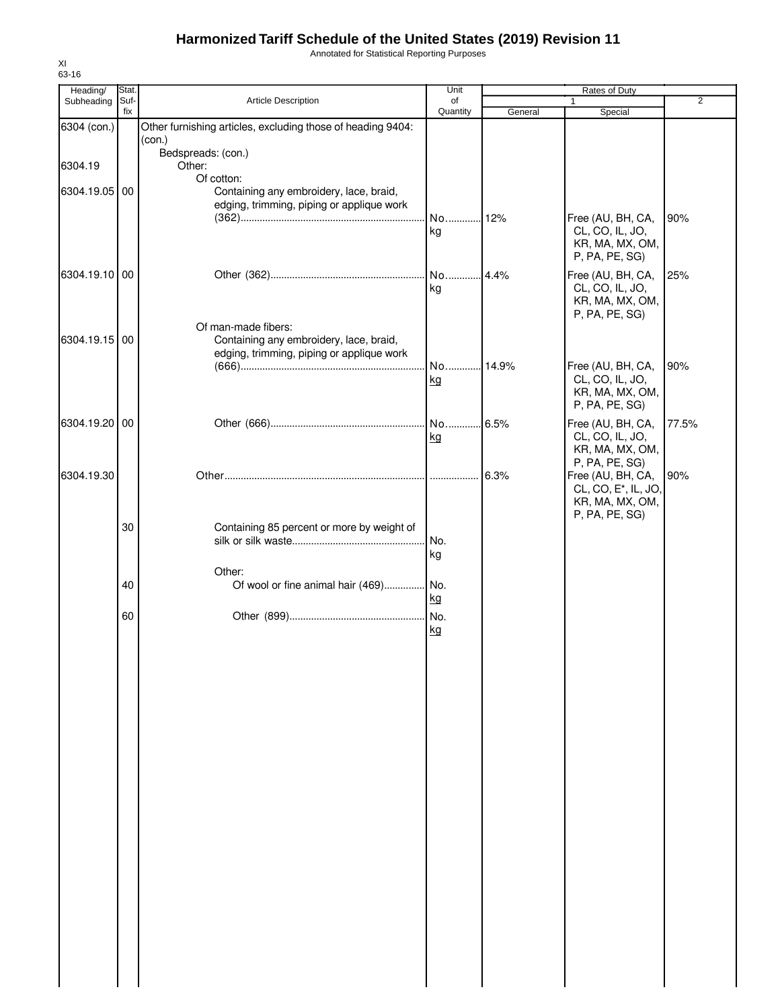Annotated for Statistical Reporting Purposes

| Heading/      | Stat.       |                                                                                                             | Unit           |         | Rates of Duty                                                                              |       |
|---------------|-------------|-------------------------------------------------------------------------------------------------------------|----------------|---------|--------------------------------------------------------------------------------------------|-------|
| Subheading    | Suf-<br>fix | <b>Article Description</b>                                                                                  | of<br>Quantity | General | $\mathbf{1}$<br>Special                                                                    | 2     |
| 6304 (con.)   |             | Other furnishing articles, excluding those of heading 9404:<br>(con.)                                       |                |         |                                                                                            |       |
| 6304.19       |             | Bedspreads: (con.)<br>Other:<br>Of cotton:                                                                  |                |         |                                                                                            |       |
| 6304.19.05 00 |             | Containing any embroidery, lace, braid,<br>edging, trimming, piping or applique work                        |                |         |                                                                                            |       |
|               |             |                                                                                                             | kg             |         | Free (AU, BH, CA,<br>CL, CO, IL, JO,<br>KR, MA, MX, OM,<br>P, PA, PE, SG)                  | 90%   |
| 6304.19.10 00 |             |                                                                                                             | kg             |         | Free (AU, BH, CA,<br>CL, CO, IL, JO,<br>KR, MA, MX, OM,<br>P, PA, PE, SG)                  | 25%   |
| 6304.19.15 00 |             | Of man-made fibers:<br>Containing any embroidery, lace, braid,<br>edging, trimming, piping or applique work | No 14.9%       |         |                                                                                            | 90%   |
|               |             |                                                                                                             | kg             |         | Free (AU, BH, CA,<br>CL, CO, IL, JO,<br>KR, MA, MX, OM,<br>P, PA, PE, SG)                  |       |
| 6304.19.20 00 |             |                                                                                                             | kg             |         | Free (AU, BH, CA,<br>CL, CO, IL, JO,<br>KR, MA, MX, OM,<br>P, PA, PE, SG)                  | 77.5% |
| 6304.19.30    |             |                                                                                                             |                | 6.3%    | Free (AU, BH, CA,<br>CL, CO, E <sup>*</sup> , IL, JO,<br>KR, MA, MX, OM,<br>P, PA, PE, SG) | 90%   |
|               | 30          | Containing 85 percent or more by weight of                                                                  | No.<br>kg      |         |                                                                                            |       |
|               | 40          | Other:<br>Of wool or fine animal hair (469) No.                                                             | <u>kg</u>      |         |                                                                                            |       |
|               | 60          |                                                                                                             | kg             |         |                                                                                            |       |
|               |             |                                                                                                             |                |         |                                                                                            |       |
|               |             |                                                                                                             |                |         |                                                                                            |       |
|               |             |                                                                                                             |                |         |                                                                                            |       |
|               |             |                                                                                                             |                |         |                                                                                            |       |
|               |             |                                                                                                             |                |         |                                                                                            |       |
|               |             |                                                                                                             |                |         |                                                                                            |       |
|               |             |                                                                                                             |                |         |                                                                                            |       |
|               |             |                                                                                                             |                |         |                                                                                            |       |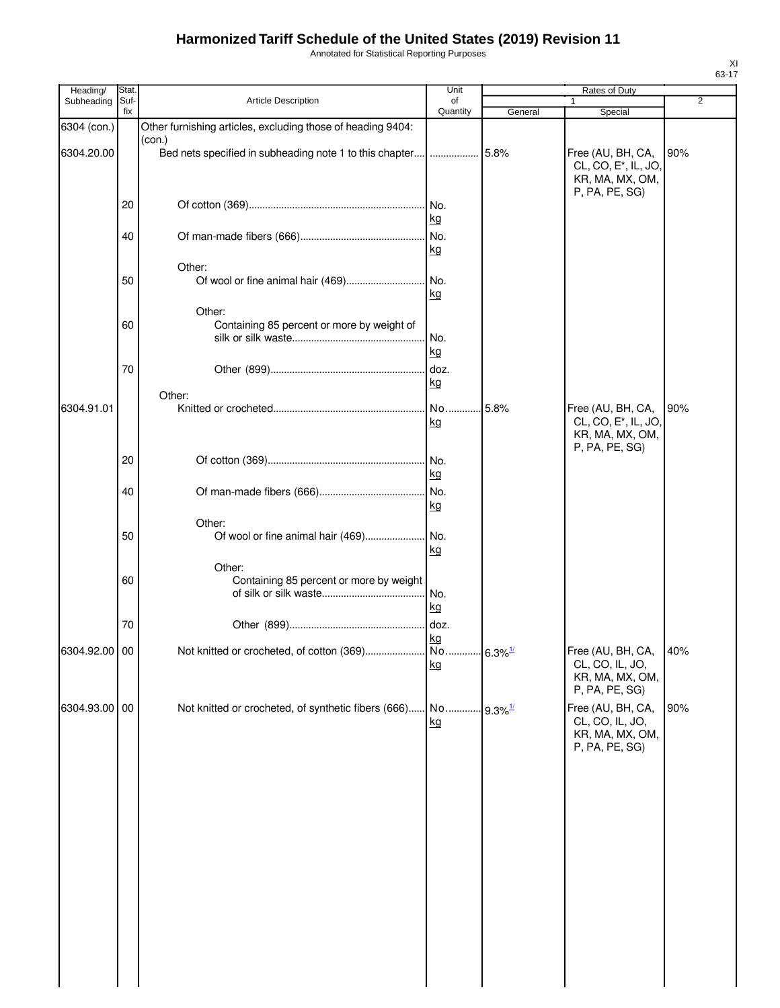Annotated for Statistical Reporting Purposes

| Heading/      | Stat. |                                                                       | Unit            |                       | Rates of Duty                                                                              |                |
|---------------|-------|-----------------------------------------------------------------------|-----------------|-----------------------|--------------------------------------------------------------------------------------------|----------------|
| Subheading    | Suf-  | Article Description                                                   | of              |                       |                                                                                            | $\overline{2}$ |
|               | fix   |                                                                       | Quantity        | General               | Special                                                                                    |                |
| 6304 (con.)   |       | Other furnishing articles, excluding those of heading 9404:<br>(con.) |                 |                       |                                                                                            |                |
| 6304.20.00    |       | Bed nets specified in subheading note 1 to this chapter               | .               | 5.8%                  | Free (AU, BH, CA,<br>CL, CO, E <sup>*</sup> , IL, JO,<br>KR, MA, MX, OM,<br>P, PA, PE, SG) | 90%            |
|               | 20    |                                                                       | kg              |                       |                                                                                            |                |
|               | 40    |                                                                       | No.<br>kg       |                       |                                                                                            |                |
|               |       | Other:                                                                |                 |                       |                                                                                            |                |
|               | 50    |                                                                       | kg              |                       |                                                                                            |                |
|               |       | Other:                                                                |                 |                       |                                                                                            |                |
|               | 60    | Containing 85 percent or more by weight of                            | No.<br>kg       |                       |                                                                                            |                |
|               | 70    |                                                                       | . doz.          |                       |                                                                                            |                |
|               |       |                                                                       | kg              |                       |                                                                                            |                |
| 6304.91.01    |       | Other:                                                                | No              | 5.8%                  | Free (AU, BH, CA,                                                                          | 90%            |
|               |       |                                                                       | kg              |                       | CL, CO, E <sup>*</sup> , IL, JO,<br>KR, MA, MX, OM,<br>P, PA, PE, SG)                      |                |
|               | 20    |                                                                       | No.<br>kg       |                       |                                                                                            |                |
|               | 40    |                                                                       | No.<br>kg       |                       |                                                                                            |                |
|               | 50    | Other:<br>Of wool or fine animal hair (469)                           | . No.<br>kg     |                       |                                                                                            |                |
|               | 60    | Other:<br>Containing 85 percent or more by weight                     | No.<br>kg       |                       |                                                                                            |                |
|               | 70    |                                                                       | doz.            |                       |                                                                                            |                |
| 6304.92.00 00 |       | Not knitted or crocheted, of cotton (369).                            | kg<br>No.<br>kg | $6.3\%$ <sup>1/</sup> | Free (AU, BH, CA,<br>CL, CO, IL, JO,<br>KR, MA, MX, OM,<br>P, PA, PE, SG)                  | 40%            |
| 6304.93.00 00 |       | Not knitted or crocheted, of synthetic fibers (666) No                | kg              | $9.3\%$ <sup>1/</sup> | Free (AU, BH, CA,<br>CL, CO, IL, JO,<br>KR, MA, MX, OM,<br>P, PA, PE, SG)                  | 90%            |
|               |       |                                                                       |                 |                       |                                                                                            |                |
|               |       |                                                                       |                 |                       |                                                                                            |                |
|               |       |                                                                       |                 |                       |                                                                                            |                |
|               |       |                                                                       |                 |                       |                                                                                            |                |
|               |       |                                                                       |                 |                       |                                                                                            |                |
|               |       |                                                                       |                 |                       |                                                                                            |                |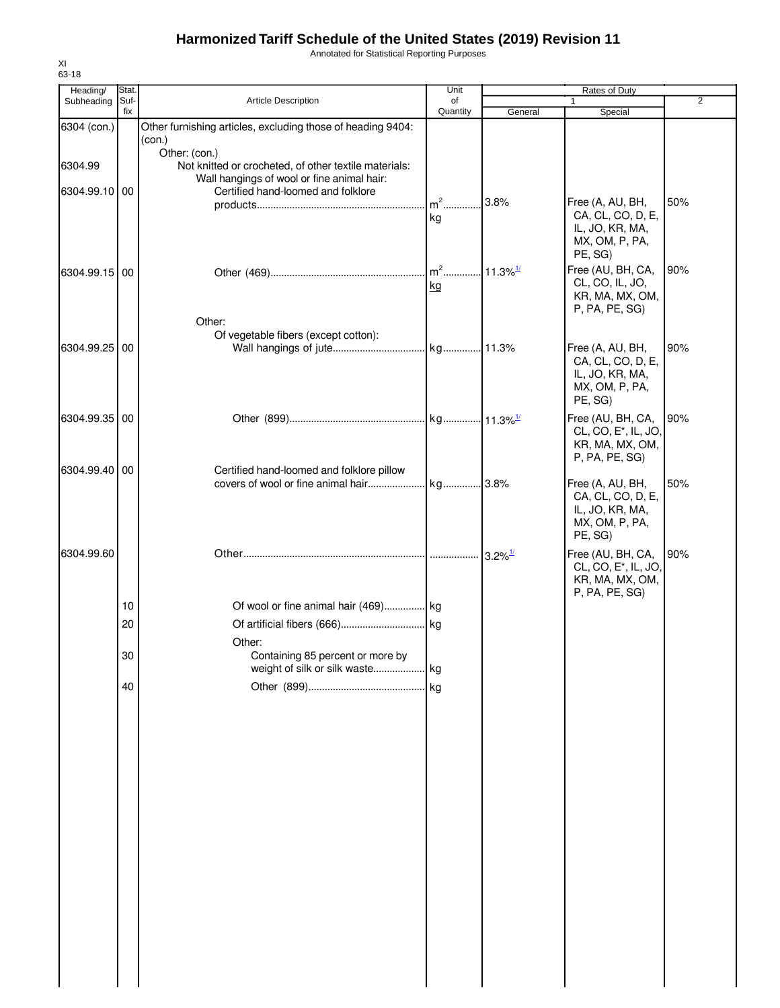Annotated for Statistical Reporting Purposes

| Heading/      | Stat.       |                                                                                                                      | Unit           |                       | Rates of Duty                                                                              |                |
|---------------|-------------|----------------------------------------------------------------------------------------------------------------------|----------------|-----------------------|--------------------------------------------------------------------------------------------|----------------|
| Subheading    | Suf-<br>fix | Article Description                                                                                                  | of<br>Quantity | General               | $\mathbf{1}$<br>Special                                                                    | $\overline{2}$ |
| 6304 (con.)   |             | Other furnishing articles, excluding those of heading 9404:<br>(con.)                                                |                |                       |                                                                                            |                |
| 6304.99       |             | Other: (con.)<br>Not knitted or crocheted, of other textile materials:<br>Wall hangings of wool or fine animal hair: |                |                       |                                                                                            |                |
| 6304.99.10 00 |             | Certified hand-loomed and folklore                                                                                   | $m^2$<br>kg    | 3.8%                  | Free (A, AU, BH,<br>CA, CL, CO, D, E,<br>IL, JO, KR, MA,<br>MX, OM, P, PA,<br>PE, SG)      | 50%            |
| 6304.99.15 00 |             |                                                                                                                      | kg             |                       | Free (AU, BH, CA,<br>CL, CO, IL, JO,<br>KR, MA, MX, OM,<br>P, PA, PE, SG)                  | 90%            |
|               |             | Other:                                                                                                               |                |                       |                                                                                            |                |
| 6304.99.25 00 |             | Of vegetable fibers (except cotton):                                                                                 |                |                       | Free (A, AU, BH,<br>CA, CL, CO, D, E,<br>IL, JO, KR, MA,<br>MX, OM, P, PA,<br>PE, SG)      | 90%            |
| 6304.99.35 00 |             |                                                                                                                      |                |                       | Free (AU, BH, CA,<br>CL, CO, E <sup>*</sup> , IL, JO,<br>KR, MA, MX, OM,<br>P, PA, PE, SG) | 90%            |
| 6304.99.40 00 |             | Certified hand-loomed and folklore pillow<br>covers of wool or fine animal hair                                      | kg 3.8%        |                       | Free (A, AU, BH,<br>CA, CL, CO, D, E,<br>IL, JO, KR, MA,<br>MX, OM, P, PA,<br>PE, SG)      | 50%            |
| 6304.99.60    |             |                                                                                                                      |                | $3.2\%$ <sup>1/</sup> | Free (AU, BH, CA,<br>CL, CO, E <sup>*</sup> , IL, JO,<br>KR, MA, MX, OM,<br>P, PA, PE, SG) | 90%            |
|               | 10          | Of wool or fine animal hair (469) kg                                                                                 |                |                       |                                                                                            |                |
|               | 20          | Other:                                                                                                               |                |                       |                                                                                            |                |
|               | 30          | Containing 85 percent or more by                                                                                     |                |                       |                                                                                            |                |
|               | 40          |                                                                                                                      | kg             |                       |                                                                                            |                |
|               |             |                                                                                                                      |                |                       |                                                                                            |                |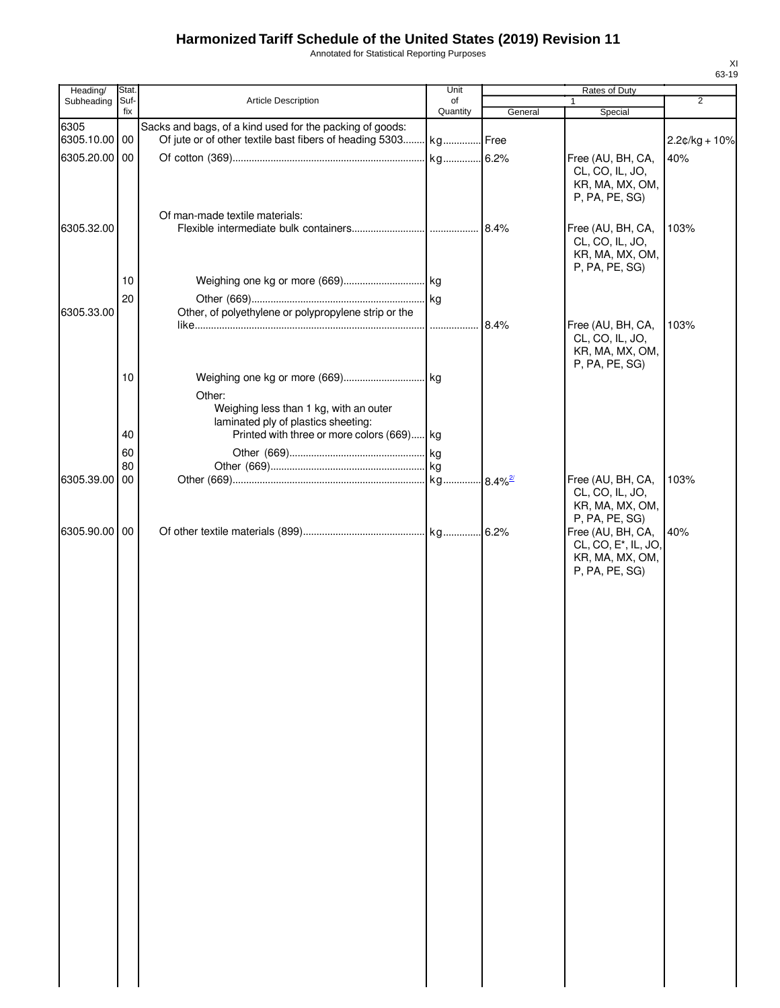Annotated for Statistical Reporting Purposes

| Heading/      | Stat.       |                                                                                         | Unit           |         | Rates of Duty                                                                              |                 |
|---------------|-------------|-----------------------------------------------------------------------------------------|----------------|---------|--------------------------------------------------------------------------------------------|-----------------|
| Subheading    | Suf-<br>fix | <b>Article Description</b>                                                              | of<br>Quantity | General | $\mathbf{1}$<br>Special                                                                    | 2               |
| 6305          |             | Sacks and bags, of a kind used for the packing of goods:                                |                |         |                                                                                            |                 |
| 6305.10.00 00 |             | Of jute or of other textile bast fibers of heading 5303 kg Free                         |                |         |                                                                                            | $2.2¢/kg + 10%$ |
| 6305.20.00 00 |             |                                                                                         |                |         | Free (AU, BH, CA,<br>CL, CO, IL, JO,<br>KR, MA, MX, OM,<br>P, PA, PE, SG)                  | 40%             |
| 6305.32.00    |             | Of man-made textile materials:                                                          |                |         | Free (AU, BH, CA,<br>CL, CO, IL, JO,<br>KR, MA, MX, OM,                                    | 103%            |
|               |             |                                                                                         |                |         | P, PA, PE, SG)                                                                             |                 |
|               | 10          |                                                                                         |                |         |                                                                                            |                 |
| 6305.33.00    | 20          | Other, of polyethylene or polypropylene strip or the                                    |                |         |                                                                                            |                 |
|               |             |                                                                                         |                | 8.4%    | Free (AU, BH, CA,                                                                          | 103%            |
|               |             |                                                                                         |                |         | CL, CO, IL, JO,<br>KR, MA, MX, OM,<br>P, PA, PE, SG)                                       |                 |
|               | 10          |                                                                                         |                |         |                                                                                            |                 |
|               |             | Other:<br>Weighing less than 1 kg, with an outer<br>laminated ply of plastics sheeting: |                |         |                                                                                            |                 |
|               | 40          | Printed with three or more colors (669) kg                                              |                |         |                                                                                            |                 |
|               | 60<br>80    |                                                                                         |                |         |                                                                                            |                 |
| 6305.39.00 00 |             |                                                                                         |                |         | Free (AU, BH, CA,                                                                          | 103%            |
|               |             |                                                                                         |                |         | CL, CO, IL, JO,<br>KR, MA, MX, OM,<br>P, PA, PE, SG)                                       |                 |
| 6305.90.00 00 |             |                                                                                         |                |         | Free (AU, BH, CA,<br>CL, CO, E <sup>*</sup> , IL, JO,<br>KR, MA, MX, OM,<br>P, PA, PE, SG) | 40%             |
|               |             |                                                                                         |                |         |                                                                                            |                 |
|               |             |                                                                                         |                |         |                                                                                            |                 |
|               |             |                                                                                         |                |         |                                                                                            |                 |
|               |             |                                                                                         |                |         |                                                                                            |                 |
|               |             |                                                                                         |                |         |                                                                                            |                 |
|               |             |                                                                                         |                |         |                                                                                            |                 |
|               |             |                                                                                         |                |         |                                                                                            |                 |
|               |             |                                                                                         |                |         |                                                                                            |                 |
|               |             |                                                                                         |                |         |                                                                                            |                 |
|               |             |                                                                                         |                |         |                                                                                            |                 |
|               |             |                                                                                         |                |         |                                                                                            |                 |
|               |             |                                                                                         |                |         |                                                                                            |                 |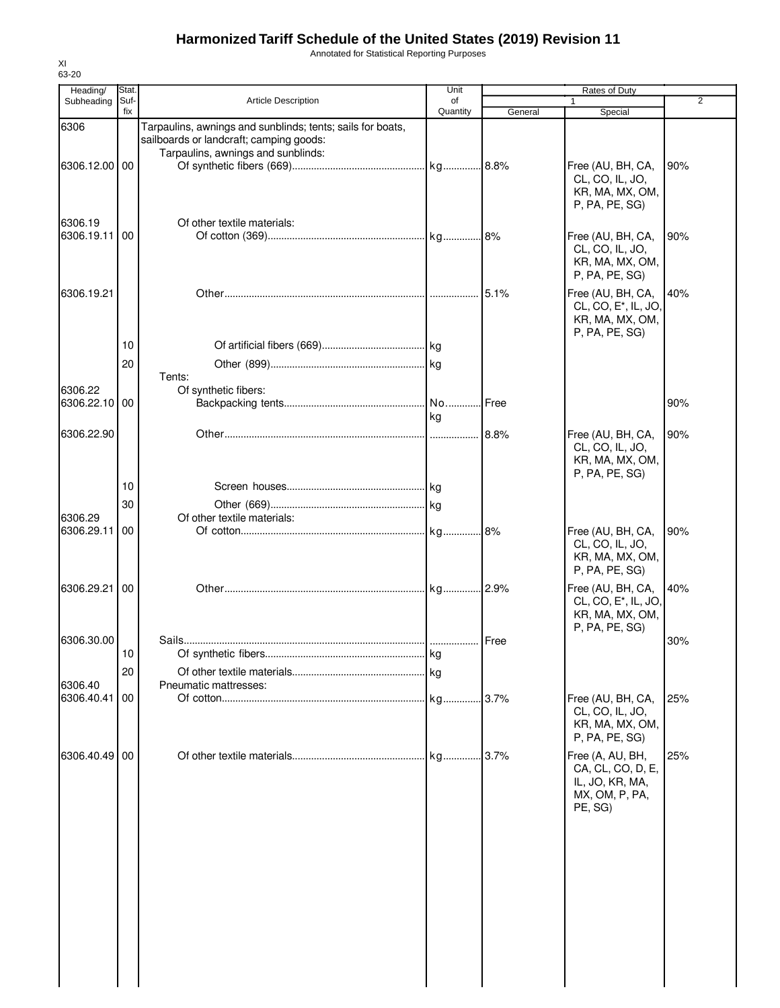Annotated for Statistical Reporting Purposes

| Heading/              | Stat.       |                                                                                                       | Unit           |         | Rates of Duty                                                                              |                |
|-----------------------|-------------|-------------------------------------------------------------------------------------------------------|----------------|---------|--------------------------------------------------------------------------------------------|----------------|
| Subheading            | Suf-<br>fix | <b>Article Description</b>                                                                            | of<br>Quantity | General | Special                                                                                    | $\overline{2}$ |
| 6306                  |             | Tarpaulins, awnings and sunblinds; tents; sails for boats,<br>sailboards or landcraft; camping goods: |                |         |                                                                                            |                |
| 6306.12.00 00         |             | Tarpaulins, awnings and sunblinds:                                                                    |                |         | Free (AU, BH, CA,<br>CL, CO, IL, JO,<br>KR, MA, MX, OM,<br>P, PA, PE, SG)                  | 90%            |
| 6306.19               |             | Of other textile materials:                                                                           |                |         |                                                                                            |                |
| 6306.19.11            | 00          |                                                                                                       |                |         | Free (AU, BH, CA,<br>CL, CO, IL, JO,<br>KR, MA, MX, OM,<br>P, PA, PE, SG)                  | 90%            |
| 6306.19.21            |             |                                                                                                       |                | 5.1%    | Free (AU, BH, CA,<br>CL, CO, E <sup>*</sup> , IL, JO,<br>KR, MA, MX, OM,<br>P, PA, PE, SG) | 40%            |
|                       | 10          |                                                                                                       |                |         |                                                                                            |                |
| 6306.22               | 20          | Tents:<br>Of synthetic fibers:                                                                        |                |         |                                                                                            |                |
| 6306.22.10            | 00          |                                                                                                       | No             | Free    |                                                                                            | 90%            |
|                       |             |                                                                                                       | kg             |         |                                                                                            |                |
| 6306.22.90            |             |                                                                                                       |                |         | Free (AU, BH, CA,<br>CL, CO, IL, JO,<br>KR, MA, MX, OM,<br>P, PA, PE, SG)                  | 90%            |
|                       | 10          |                                                                                                       |                |         |                                                                                            |                |
| 6306.29               | 30          | Of other textile materials:                                                                           |                |         |                                                                                            |                |
| 6306.29.11            | 00          |                                                                                                       |                |         | Free (AU, BH, CA,<br>CL, CO, IL, JO,<br>KR, MA, MX, OM,<br>P, PA, PE, SG)                  | 90%            |
| 6306.29.21            | 00          |                                                                                                       |                |         | Free (AU, BH, CA,<br>CL, CO, E*, IL, JO,<br>KR, MA, MX, OM,<br>P, PA, PE, SG)              | 40%            |
| 6306.30.00            |             |                                                                                                       |                |         |                                                                                            | 30%            |
|                       | 10          |                                                                                                       |                |         |                                                                                            |                |
|                       | 20          |                                                                                                       |                |         |                                                                                            |                |
| 6306.40<br>6306.40.41 | 00          | Pneumatic mattresses:                                                                                 |                | .3.7%   | Free (AU, BH, CA,<br>CL, CO, IL, JO,<br>KR, MA, MX, OM,<br>P, PA, PE, SG)                  | 25%            |
| 6306.40.49            | 00          |                                                                                                       |                |         | Free (A, AU, BH,<br>CA, CL, CO, D, E,<br>IL, JO, KR, MA,<br>MX, OM, P, PA,<br>PE, SG)      | 25%            |
|                       |             |                                                                                                       |                |         |                                                                                            |                |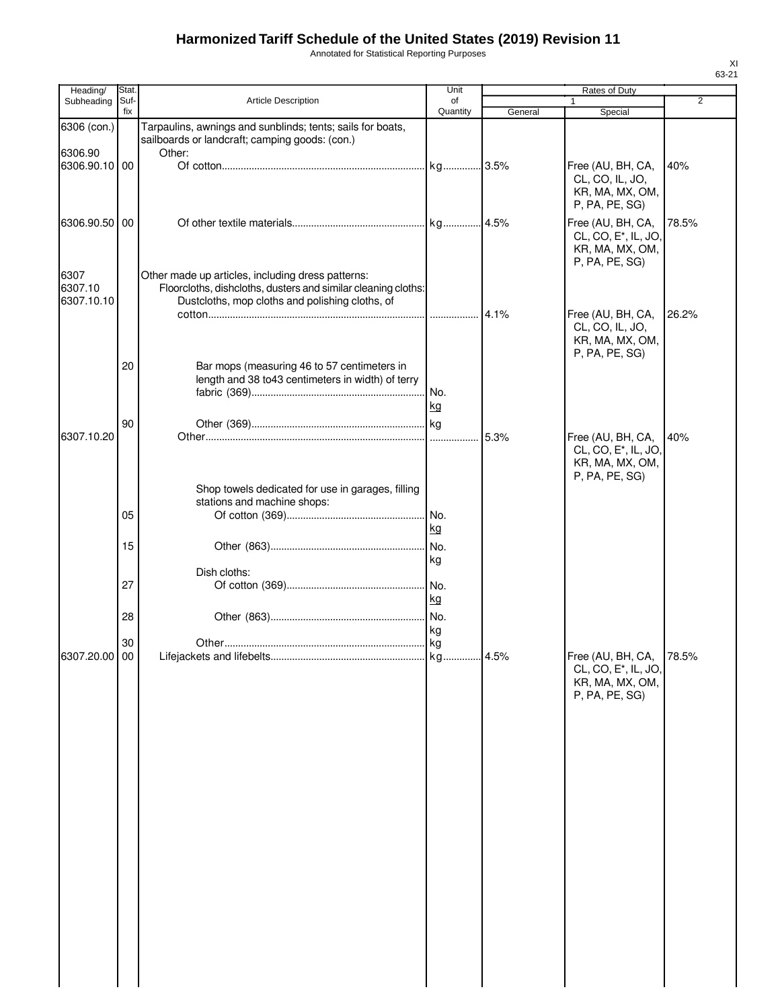Annotated for Statistical Reporting Purposes

| Heading/               | Stat.       |                                                                                                                        | Unit           |         | Rates of Duty                                                                              |                |
|------------------------|-------------|------------------------------------------------------------------------------------------------------------------------|----------------|---------|--------------------------------------------------------------------------------------------|----------------|
| Subheading             | Suf-<br>fix | <b>Article Description</b>                                                                                             | of<br>Quantity | General | 1<br>Special                                                                               | $\overline{2}$ |
| 6306 (con.)<br>6306.90 |             | Tarpaulins, awnings and sunblinds; tents; sails for boats,<br>sailboards or landcraft; camping goods: (con.)<br>Other: |                |         |                                                                                            |                |
| 6306.90.10 00          |             |                                                                                                                        |                |         | Free (AU, BH, CA,<br>CL, CO, IL, JO,<br>KR, MA, MX, OM,<br>P, PA, PE, SG)                  | 40%            |
| 6306.90.50<br>6307     | 00          | Other made up articles, including dress patterns:                                                                      |                |         | Free (AU, BH, CA,<br>CL, CO, E <sup>*</sup> , IL, JO,<br>KR, MA, MX, OM,<br>P, PA, PE, SG) | 78.5%          |
| 6307.10<br>6307.10.10  |             | Floorcloths, dishcloths, dusters and similar cleaning cloths:<br>Dustcloths, mop cloths and polishing cloths, of       |                |         | Free (AU, BH, CA,<br>CL, CO, IL, JO,<br>KR, MA, MX, OM,                                    | 26.2%          |
|                        | 20          | Bar mops (measuring 46 to 57 centimeters in<br>length and 38 to 43 centimeters in width) of terry                      | No.<br>kg      |         | P, PA, PE, SG)                                                                             |                |
| 6307.10.20             | 90          |                                                                                                                        |                | 5.3%    | Free (AU, BH, CA,<br>CL, CO, E <sup>*</sup> , IL, JO,<br>KR, MA, MX, OM,<br>P, PA, PE, SG) | 40%            |
|                        | 05          | Shop towels dedicated for use in garages, filling<br>stations and machine shops:                                       | No.<br>kg      |         |                                                                                            |                |
|                        | 15          |                                                                                                                        | No.<br>kg      |         |                                                                                            |                |
|                        | 27          | Dish cloths:                                                                                                           | kg             |         |                                                                                            |                |
|                        | 28<br>30    |                                                                                                                        | kg             |         |                                                                                            |                |
| 6307.20.00 00          |             |                                                                                                                        |                |         | Free (AU, BH, CA,<br>CL, CO, E <sup>*</sup> , IL, JO,<br>KR, MA, MX, OM,<br>P, PA, PE, SG) | 78.5%          |
|                        |             |                                                                                                                        |                |         |                                                                                            |                |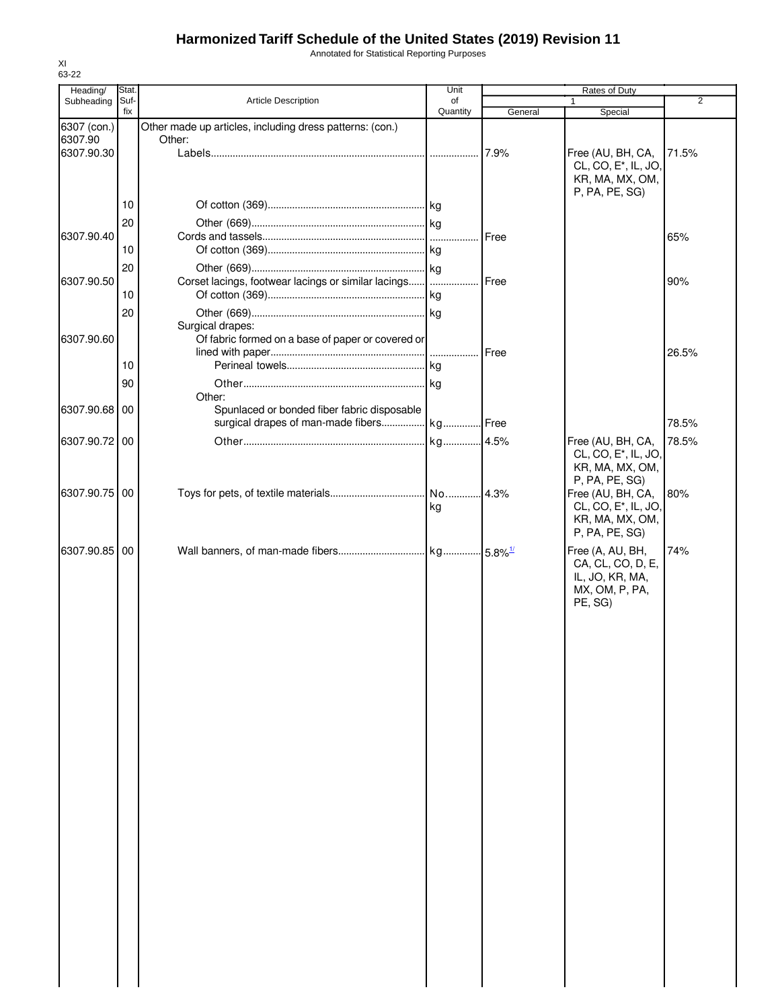Annotated for Statistical Reporting Purposes

| Heading/               | Stat.       |                                                                    | Unit     |              | Rates of Duty                     |                |
|------------------------|-------------|--------------------------------------------------------------------|----------|--------------|-----------------------------------|----------------|
| Subheading             | Suf-<br>fix | Article Description                                                | of       |              | $\mathbf{1}$                      | $\overline{2}$ |
|                        |             |                                                                    | Quantity | General      | Special                           |                |
| 6307 (con.)<br>6307.90 |             | Other made up articles, including dress patterns: (con.)<br>Other: |          |              |                                   |                |
| 6307.90.30             |             |                                                                    |          | 7.9%         | Free (AU, BH, CA,                 | 71.5%          |
|                        |             |                                                                    |          |              | CL, CO, E <sup>*</sup> , IL, JO,  |                |
|                        |             |                                                                    |          |              | KR, MA, MX, OM,                   |                |
|                        |             |                                                                    |          |              | P, PA, PE, SG)                    |                |
|                        | 10          |                                                                    |          |              |                                   |                |
|                        | 20          |                                                                    |          |              |                                   |                |
| 6307.90.40             |             |                                                                    |          | <b>Free</b>  |                                   | 65%            |
|                        | 10          |                                                                    |          |              |                                   |                |
|                        | 20          |                                                                    |          |              |                                   |                |
| 6307.90.50             |             | Corset lacings, footwear lacings or similar lacings                |          | <b>IFree</b> |                                   | 90%            |
|                        | 10          |                                                                    |          |              |                                   |                |
|                        | 20          |                                                                    |          |              |                                   |                |
|                        |             | Surgical drapes:                                                   |          |              |                                   |                |
| 6307.90.60             |             | Of fabric formed on a base of paper or covered or                  |          |              |                                   |                |
|                        |             |                                                                    |          | Free         |                                   | 26.5%          |
|                        | 10          |                                                                    |          |              |                                   |                |
|                        | 90          |                                                                    |          |              |                                   |                |
|                        |             | Other:                                                             |          |              |                                   |                |
| 6307.90.68 00          |             | Spunlaced or bonded fiber fabric disposable                        |          |              |                                   |                |
|                        |             | surgical drapes of man-made fibers kg Free                         |          |              |                                   | 78.5%          |
| 6307.90.72 00          |             |                                                                    |          |              | Free (AU, BH, CA,                 | 78.5%          |
|                        |             |                                                                    |          |              | CL, CO, E <sup>*</sup> , IL, JO,  |                |
|                        |             |                                                                    |          |              | KR, MA, MX, OM,                   |                |
|                        |             |                                                                    |          |              | P, PA, PE, SG)                    |                |
| 6307.90.75 00          |             |                                                                    |          |              | Free (AU, BH, CA,                 | 80%            |
|                        |             |                                                                    | kg       |              | CL, CO, E <sup>*</sup> , IL, JO,  |                |
|                        |             |                                                                    |          |              | KR, MA, MX, OM,                   |                |
|                        |             |                                                                    |          |              | P, PA, PE, SG)                    |                |
| 6307.90.85 00          |             |                                                                    |          |              | Free (A, AU, BH,                  | 74%            |
|                        |             |                                                                    |          |              | CA, CL, CO, D, E,                 |                |
|                        |             |                                                                    |          |              | IL, JO, KR, MA,<br>MX, OM, P, PA, |                |
|                        |             |                                                                    |          |              | PE, SG)                           |                |
|                        |             |                                                                    |          |              |                                   |                |
|                        |             |                                                                    |          |              |                                   |                |
|                        |             |                                                                    |          |              |                                   |                |
|                        |             |                                                                    |          |              |                                   |                |
|                        |             |                                                                    |          |              |                                   |                |
|                        |             |                                                                    |          |              |                                   |                |
|                        |             |                                                                    |          |              |                                   |                |
|                        |             |                                                                    |          |              |                                   |                |
|                        |             |                                                                    |          |              |                                   |                |
|                        |             |                                                                    |          |              |                                   |                |
|                        |             |                                                                    |          |              |                                   |                |
|                        |             |                                                                    |          |              |                                   |                |
|                        |             |                                                                    |          |              |                                   |                |
|                        |             |                                                                    |          |              |                                   |                |
|                        |             |                                                                    |          |              |                                   |                |
|                        |             |                                                                    |          |              |                                   |                |
|                        |             |                                                                    |          |              |                                   |                |
|                        |             |                                                                    |          |              |                                   |                |
|                        |             |                                                                    |          |              |                                   |                |
|                        |             |                                                                    |          |              |                                   |                |
|                        |             |                                                                    |          |              |                                   |                |
|                        |             |                                                                    |          |              |                                   |                |
|                        |             |                                                                    |          |              |                                   |                |
|                        |             |                                                                    |          |              |                                   |                |
|                        |             |                                                                    |          |              |                                   |                |
|                        |             |                                                                    |          |              |                                   |                |
|                        |             |                                                                    |          |              |                                   |                |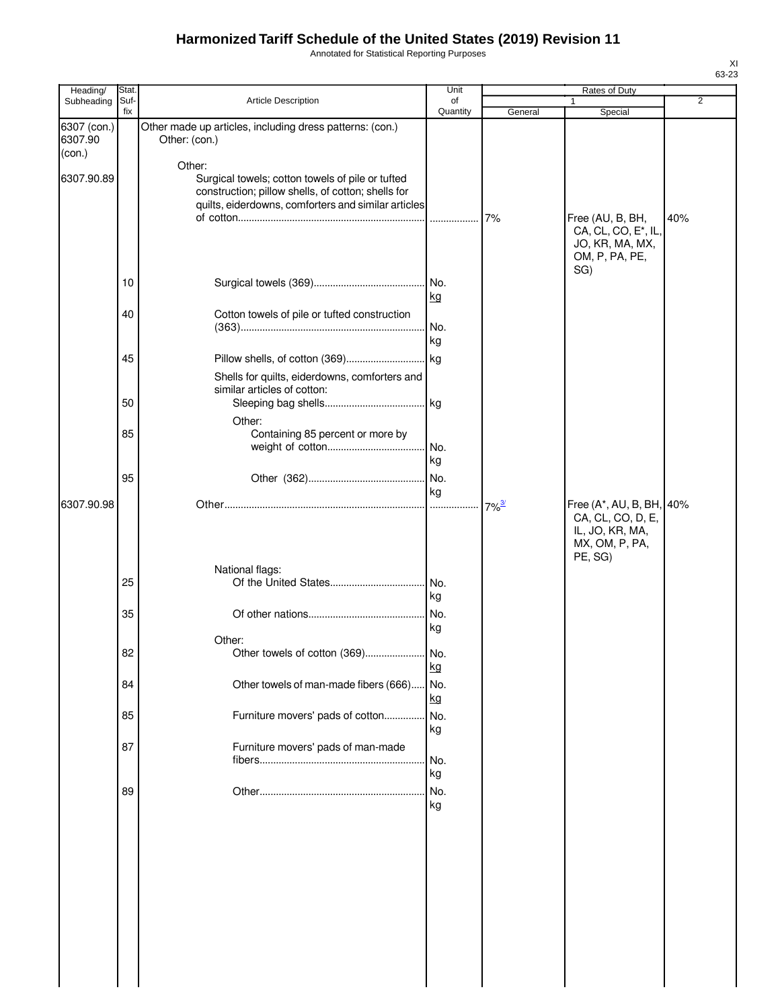Annotated for Statistical Reporting Purposes

| Heading/               | Stat.       |                                                                                                                                                                         | Unit           |                     | Rates of Duty                                                                  |                |
|------------------------|-------------|-------------------------------------------------------------------------------------------------------------------------------------------------------------------------|----------------|---------------------|--------------------------------------------------------------------------------|----------------|
| Subheading             | Suf-<br>fix | Article Description                                                                                                                                                     | of<br>Quantity | General             | Special                                                                        | $\overline{2}$ |
| 6307 (con.)<br>6307.90 |             | Other made up articles, including dress patterns: (con.)<br>Other: (con.)                                                                                               |                |                     |                                                                                |                |
| (con.)                 |             |                                                                                                                                                                         |                |                     |                                                                                |                |
| 6307.90.89             |             | Other:<br>Surgical towels; cotton towels of pile or tufted<br>construction; pillow shells, of cotton; shells for<br>quilts, eiderdowns, comforters and similar articles |                | 7%                  | Free (AU, B, BH,                                                               | 40%            |
|                        |             |                                                                                                                                                                         |                |                     | CA, CL, CO, E <sup>*</sup> , IL,<br>JO, KR, MA, MX,<br>OM, P, PA, PE,<br>SG)   |                |
|                        | 10          |                                                                                                                                                                         | kg             |                     |                                                                                |                |
|                        | 40          | Cotton towels of pile or tufted construction                                                                                                                            | No.<br>kg      |                     |                                                                                |                |
|                        | 45          |                                                                                                                                                                         |                |                     |                                                                                |                |
|                        | 50          | Shells for quilts, eiderdowns, comforters and<br>similar articles of cotton:                                                                                            |                |                     |                                                                                |                |
|                        |             | Other:                                                                                                                                                                  |                |                     |                                                                                |                |
|                        | 85          | Containing 85 percent or more by                                                                                                                                        | No.<br>kg      |                     |                                                                                |                |
|                        | 95          |                                                                                                                                                                         |                |                     |                                                                                |                |
| 6307.90.98             |             |                                                                                                                                                                         | kg             | $7\%$ <sup>3/</sup> | Free (A*, AU, B, BH,<br>CA, CL, CO, D, E,<br>IL, JO, KR, MA,<br>MX, OM, P, PA, | 40%            |
|                        |             |                                                                                                                                                                         |                |                     | PE, SG)                                                                        |                |
|                        | 25          | National flags:                                                                                                                                                         | kg             |                     |                                                                                |                |
|                        | 35          |                                                                                                                                                                         | No.<br>kg      |                     |                                                                                |                |
|                        |             | Other:                                                                                                                                                                  |                |                     |                                                                                |                |
|                        | 82          |                                                                                                                                                                         | kg             |                     |                                                                                |                |
|                        | 84          | Other towels of man-made fibers (666)                                                                                                                                   | No.<br>kg      |                     |                                                                                |                |
|                        | 85          | Furniture movers' pads of cotton                                                                                                                                        | No.<br>kg      |                     |                                                                                |                |
|                        | 87          | Furniture movers' pads of man-made                                                                                                                                      | No.<br>kg      |                     |                                                                                |                |
|                        | 89          |                                                                                                                                                                         | No.<br>kg      |                     |                                                                                |                |
|                        |             |                                                                                                                                                                         |                |                     |                                                                                |                |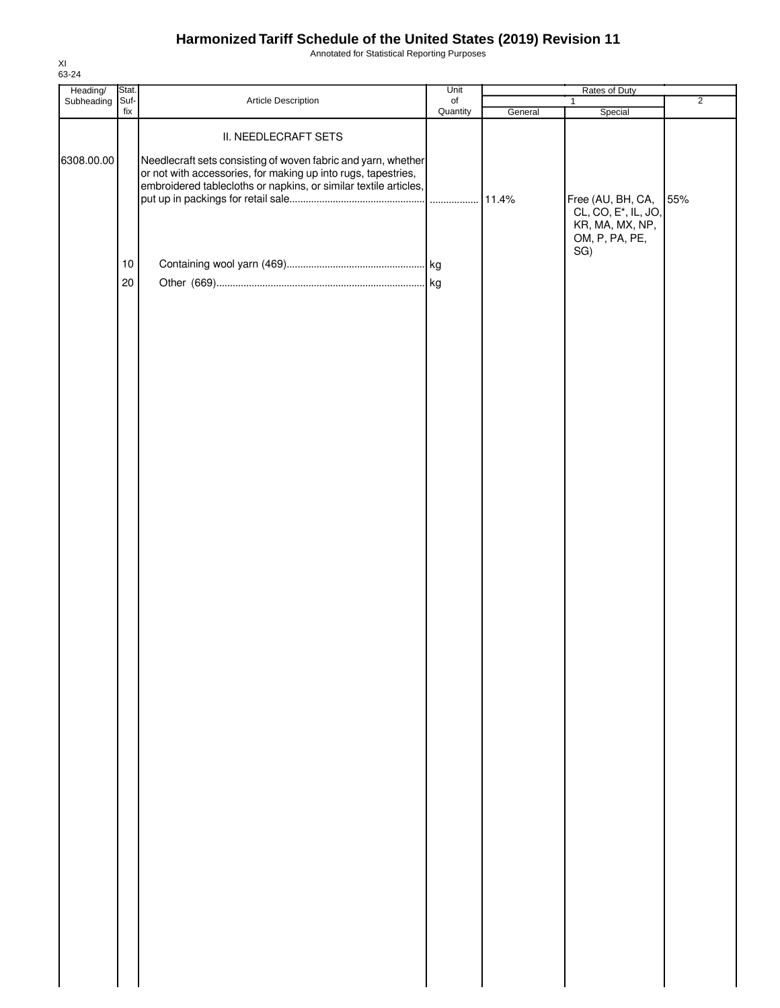Annotated for Statistical Reporting Purposes

| Heading/   | Stat.           |                                                                                                                                                                                                                            | Unit                  |         | Rates of Duty                                                                                     |                |
|------------|-----------------|----------------------------------------------------------------------------------------------------------------------------------------------------------------------------------------------------------------------------|-----------------------|---------|---------------------------------------------------------------------------------------------------|----------------|
| Subheading | Suf-<br>fix     | Article Description                                                                                                                                                                                                        | $\circ$ f<br>Quantity | General | $\mathbf{1}$<br>Special                                                                           | $\overline{2}$ |
| 6308.00.00 |                 | II. NEEDLECRAFT SETS<br>Needlecraft sets consisting of woven fabric and yarn, whether<br>or not with accessories, for making up into rugs, tapestries,<br>embroidered tablecloths or napkins, or similar textile articles, |                       |         | Free (AU, BH, CA,<br>CL, CO, E <sup>*</sup> , IL, JO,<br>KR, MA, MX, NP,<br>OM, P, PA, PE,<br>SG) | 55%            |
|            | 10 <sub>1</sub> |                                                                                                                                                                                                                            |                       |         |                                                                                                   |                |
|            | 20              |                                                                                                                                                                                                                            |                       |         |                                                                                                   |                |
|            |                 |                                                                                                                                                                                                                            |                       |         |                                                                                                   |                |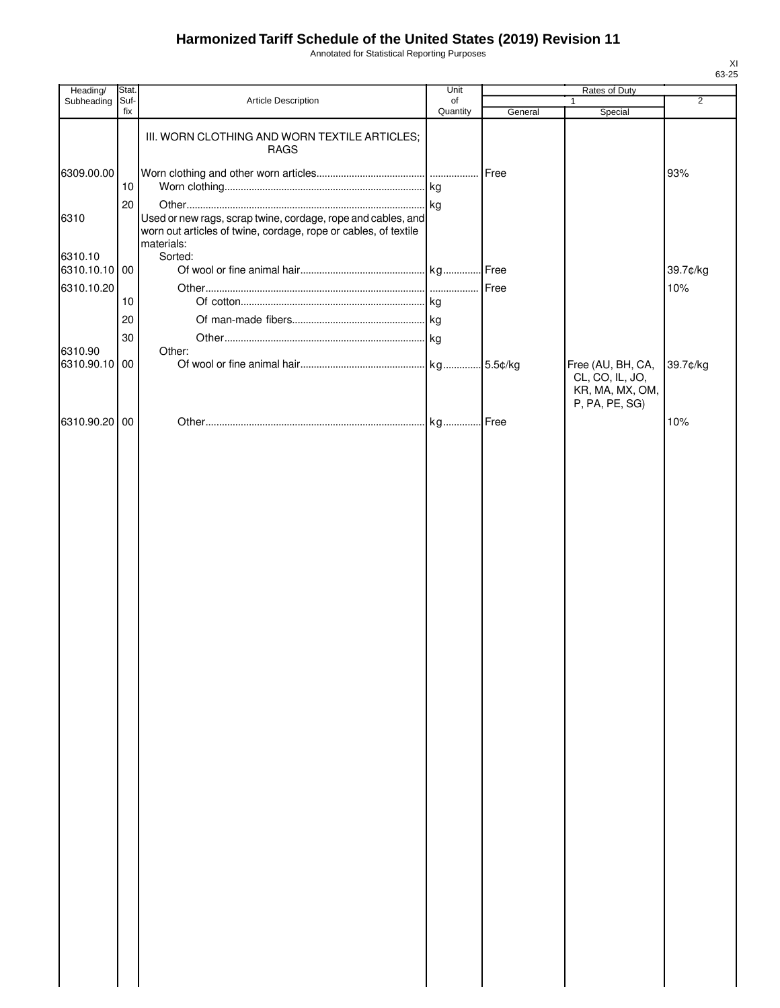Annotated for Statistical Reporting Purposes

| Heading/                 | Stat.       |                                                                                                                                 | Unit           | Rates of Duty |                                                      |                |
|--------------------------|-------------|---------------------------------------------------------------------------------------------------------------------------------|----------------|---------------|------------------------------------------------------|----------------|
| Subheading               | Suf-<br>fix | <b>Article Description</b>                                                                                                      | of<br>Quantity | General       | Special                                              | $\overline{2}$ |
|                          |             | III. WORN CLOTHING AND WORN TEXTILE ARTICLES;<br><b>RAGS</b>                                                                    |                |               |                                                      |                |
| 6309.00.00               | $10$        |                                                                                                                                 |                |               |                                                      | 93%            |
| 6310                     | 20          | Used or new rags, scrap twine, cordage, rope and cables, and<br>worn out articles of twine, cordage, rope or cables, of textile |                |               |                                                      |                |
| 6310.10<br>6310.10.10 00 |             | materials:<br>Sorted:                                                                                                           |                |               |                                                      | 39.7¢/kg       |
| 6310.10.20               | 10          |                                                                                                                                 |                |               |                                                      | 10%            |
|                          | 20<br>30    |                                                                                                                                 |                |               |                                                      |                |
| 6310.90<br>6310.90.10 00 |             | Other:                                                                                                                          |                |               | Free (AU, BH, CA,                                    | 39.7¢/kg       |
|                          |             |                                                                                                                                 |                |               | CL, CO, IL, JO,<br>KR, MA, MX, OM,<br>P, PA, PE, SG) |                |
| 6310.90.20 00            |             |                                                                                                                                 |                |               |                                                      | 10%            |
|                          |             |                                                                                                                                 |                |               |                                                      |                |
|                          |             |                                                                                                                                 |                |               |                                                      |                |
|                          |             |                                                                                                                                 |                |               |                                                      |                |
|                          |             |                                                                                                                                 |                |               |                                                      |                |
|                          |             |                                                                                                                                 |                |               |                                                      |                |
|                          |             |                                                                                                                                 |                |               |                                                      |                |
|                          |             |                                                                                                                                 |                |               |                                                      |                |
|                          |             |                                                                                                                                 |                |               |                                                      |                |
|                          |             |                                                                                                                                 |                |               |                                                      |                |
|                          |             |                                                                                                                                 |                |               |                                                      |                |
|                          |             |                                                                                                                                 |                |               |                                                      |                |
|                          |             |                                                                                                                                 |                |               |                                                      |                |
|                          |             |                                                                                                                                 |                |               |                                                      |                |
|                          |             |                                                                                                                                 |                |               |                                                      |                |
|                          |             |                                                                                                                                 |                |               |                                                      |                |
|                          |             |                                                                                                                                 |                |               |                                                      |                |
|                          |             |                                                                                                                                 |                |               |                                                      |                |
|                          |             |                                                                                                                                 |                |               |                                                      |                |